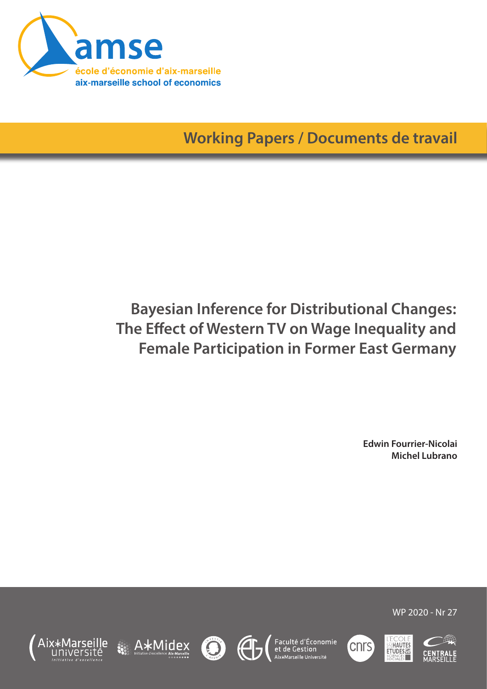

**Working Papers / Documents de travail**

# **Bayesian Inference for Distributional Changes: The Effect of Western TV on Wage Inequality and Female Participation in Former East Germany**

**Edwin Fourrier-Nicolai Michel Lubrano**









Faculté d'Économie<br>et de Gestion





WP 2020 - Nr 27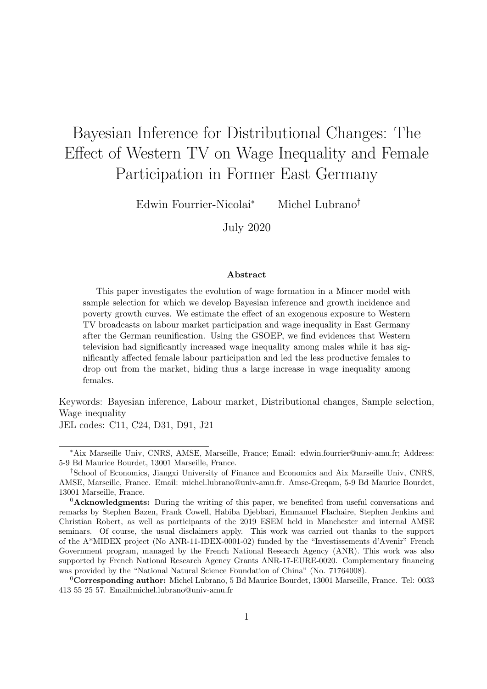# Bayesian Inference for Distributional Changes: The Effect of Western TV on Wage Inequality and Female Participation in Former East Germany

Edwin Fourrier-Nicolai<sup>∗</sup> Michel Lubrano†

July 2020

#### Abstract

This paper investigates the evolution of wage formation in a Mincer model with sample selection for which we develop Bayesian inference and growth incidence and poverty growth curves. We estimate the effect of an exogenous exposure to Western TV broadcasts on labour market participation and wage inequality in East Germany after the German reunification. Using the GSOEP, we find evidences that Western television had significantly increased wage inequality among males while it has significantly affected female labour participation and led the less productive females to drop out from the market, hiding thus a large increase in wage inequality among females.

Keywords: Bayesian inference, Labour market, Distributional changes, Sample selection, Wage inequality JEL codes: C11, C24, D31, D91, J21

<sup>∗</sup>Aix Marseille Univ, CNRS, AMSE, Marseille, France; Email: edwin.fourrier@univ-amu.fr; Address: 5-9 Bd Maurice Bourdet, 13001 Marseille, France.

<sup>†</sup>School of Economics, Jiangxi University of Finance and Economics and Aix Marseille Univ, CNRS, AMSE, Marseille, France. Email: michel.lubrano@univ-amu.fr. Amse-Greqam, 5-9 Bd Maurice Bourdet, 13001 Marseille, France.

 ${}^{0}$ **Acknowledgments:** During the writing of this paper, we benefited from useful conversations and remarks by Stephen Bazen, Frank Cowell, Habiba Djebbari, Emmanuel Flachaire, Stephen Jenkins and Christian Robert, as well as participants of the 2019 ESEM held in Manchester and internal AMSE seminars. Of course, the usual disclaimers apply. This work was carried out thanks to the support of the A\*MIDEX project (No ANR-11-IDEX-0001-02) funded by the "Investissements d'Avenir" French Government program, managed by the French National Research Agency (ANR). This work was also supported by French National Research Agency Grants ANR-17-EURE-0020. Complementary financing was provided by the "National Natural Science Foundation of China" (No. 71764008).

 ${}^{0}$ Corresponding author: Michel Lubrano, 5 Bd Maurice Bourdet, 13001 Marseille, France. Tel: 0033 413 55 25 57. Email:michel.lubrano@univ-amu.fr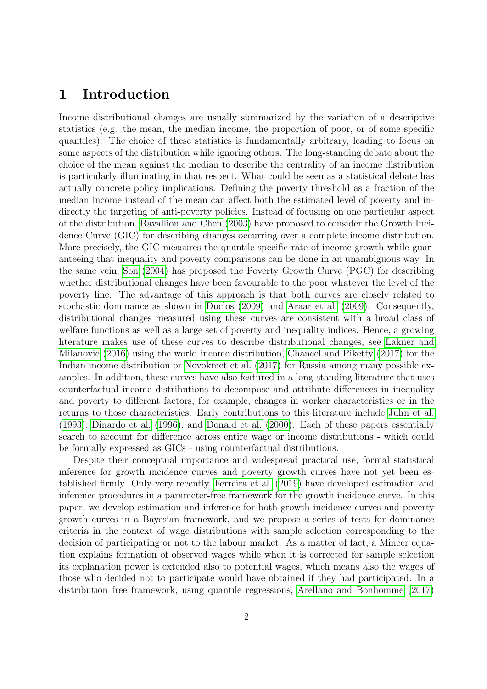### 1 Introduction

Income distributional changes are usually summarized by the variation of a descriptive statistics (e.g. the mean, the median income, the proportion of poor, or of some specific quantiles). The choice of these statistics is fundamentally arbitrary, leading to focus on some aspects of the distribution while ignoring others. The long-standing debate about the choice of the mean against the median to describe the centrality of an income distribution is particularly illuminating in that respect. What could be seen as a statistical debate has actually concrete policy implications. Defining the poverty threshold as a fraction of the median income instead of the mean can affect both the estimated level of poverty and indirectly the targeting of anti-poverty policies. Instead of focusing on one particular aspect of the distribution, [Ravallion and Chen](#page-25-0) [\(2003\)](#page-25-0) have proposed to consider the Growth Incidence Curve (GIC) for describing changes occurring over a complete income distribution. More precisely, the GIC measures the quantile-specific rate of income growth while guaranteeing that inequality and poverty comparisons can be done in an unambiguous way. In the same vein, [Son](#page-25-1) [\(2004\)](#page-25-1) has proposed the Poverty Growth Curve (PGC) for describing whether distributional changes have been favourable to the poor whatever the level of the poverty line. The advantage of this approach is that both curves are closely related to stochastic dominance as shown in [Duclos](#page-24-0) [\(2009\)](#page-24-0) and [Araar et al.](#page-23-0) [\(2009\)](#page-23-0). Consequently, distributional changes measured using these curves are consistent with a broad class of welfare functions as well as a large set of poverty and inequality indices. Hence, a growing literature makes use of these curves to describe distributional changes, see [Lakner and](#page-25-2) [Milanovic](#page-25-2) [\(2016\)](#page-25-2) using the world income distribution, [Chancel and Piketty](#page-24-1) [\(2017\)](#page-24-1) for the Indian income distribution or [Novokmet et al.](#page-25-3) [\(2017\)](#page-25-3) for Russia among many possible examples. In addition, these curves have also featured in a long-standing literature that uses counterfactual income distributions to decompose and attribute differences in inequality and poverty to different factors, for example, changes in worker characteristics or in the returns to those characteristics. Early contributions to this literature include [Juhn et al.](#page-25-4) [\(1993\)](#page-25-4), [Dinardo et al.](#page-24-2) [\(1996\)](#page-24-2), and [Donald et al.](#page-24-3) [\(2000\)](#page-24-3). Each of these papers essentially search to account for difference across entire wage or income distributions - which could be formally expressed as GICs - using counterfactual distributions.

Despite their conceptual importance and widespread practical use, formal statistical inference for growth incidence curves and poverty growth curves have not yet been established firmly. Only very recently, [Ferreira et al.](#page-24-4) [\(2019\)](#page-24-4) have developed estimation and inference procedures in a parameter-free framework for the growth incidence curve. In this paper, we develop estimation and inference for both growth incidence curves and poverty growth curves in a Bayesian framework, and we propose a series of tests for dominance criteria in the context of wage distributions with sample selection corresponding to the decision of participating or not to the labour market. As a matter of fact, a Mincer equation explains formation of observed wages while when it is corrected for sample selection its explanation power is extended also to potential wages, which means also the wages of those who decided not to participate would have obtained if they had participated. In a distribution free framework, using quantile regressions, [Arellano and Bonhomme](#page-23-1) [\(2017\)](#page-23-1)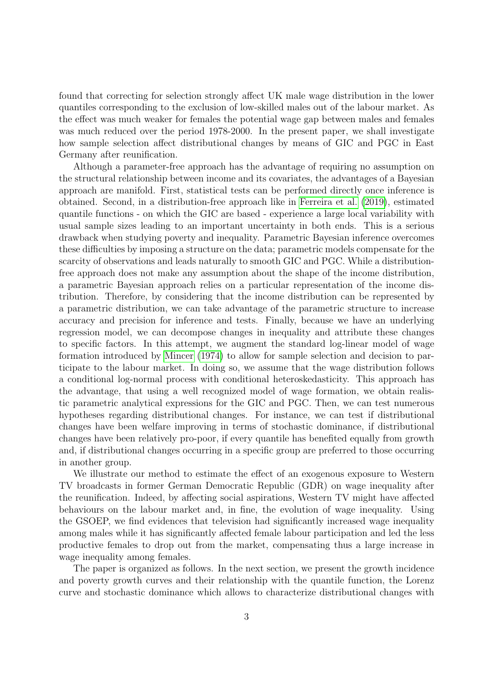found that correcting for selection strongly affect UK male wage distribution in the lower quantiles corresponding to the exclusion of low-skilled males out of the labour market. As the effect was much weaker for females the potential wage gap between males and females was much reduced over the period 1978-2000. In the present paper, we shall investigate how sample selection affect distributional changes by means of GIC and PGC in East Germany after reunification.

Although a parameter-free approach has the advantage of requiring no assumption on the structural relationship between income and its covariates, the advantages of a Bayesian approach are manifold. First, statistical tests can be performed directly once inference is obtained. Second, in a distribution-free approach like in [Ferreira et al.](#page-24-4) [\(2019\)](#page-24-4), estimated quantile functions - on which the GIC are based - experience a large local variability with usual sample sizes leading to an important uncertainty in both ends. This is a serious drawback when studying poverty and inequality. Parametric Bayesian inference overcomes these difficulties by imposing a structure on the data; parametric models compensate for the scarcity of observations and leads naturally to smooth GIC and PGC. While a distributionfree approach does not make any assumption about the shape of the income distribution, a parametric Bayesian approach relies on a particular representation of the income distribution. Therefore, by considering that the income distribution can be represented by a parametric distribution, we can take advantage of the parametric structure to increase accuracy and precision for inference and tests. Finally, because we have an underlying regression model, we can decompose changes in inequality and attribute these changes to specific factors. In this attempt, we augment the standard log-linear model of wage formation introduced by [Mincer](#page-25-5) [\(1974\)](#page-25-5) to allow for sample selection and decision to participate to the labour market. In doing so, we assume that the wage distribution follows a conditional log-normal process with conditional heteroskedasticity. This approach has the advantage, that using a well recognized model of wage formation, we obtain realistic parametric analytical expressions for the GIC and PGC. Then, we can test numerous hypotheses regarding distributional changes. For instance, we can test if distributional changes have been welfare improving in terms of stochastic dominance, if distributional changes have been relatively pro-poor, if every quantile has benefited equally from growth and, if distributional changes occurring in a specific group are preferred to those occurring in another group.

We illustrate our method to estimate the effect of an exogenous exposure to Western TV broadcasts in former German Democratic Republic (GDR) on wage inequality after the reunification. Indeed, by affecting social aspirations, Western TV might have affected behaviours on the labour market and, in fine, the evolution of wage inequality. Using the GSOEP, we find evidences that television had significantly increased wage inequality among males while it has significantly affected female labour participation and led the less productive females to drop out from the market, compensating thus a large increase in wage inequality among females.

The paper is organized as follows. In the next section, we present the growth incidence and poverty growth curves and their relationship with the quantile function, the Lorenz curve and stochastic dominance which allows to characterize distributional changes with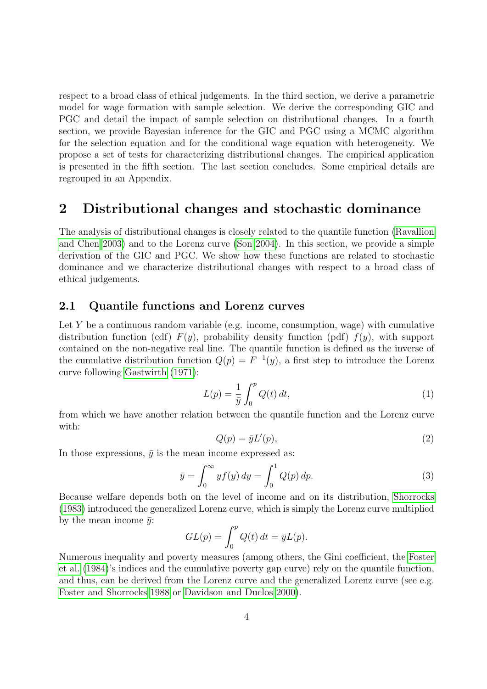respect to a broad class of ethical judgements. In the third section, we derive a parametric model for wage formation with sample selection. We derive the corresponding GIC and PGC and detail the impact of sample selection on distributional changes. In a fourth section, we provide Bayesian inference for the GIC and PGC using a MCMC algorithm for the selection equation and for the conditional wage equation with heterogeneity. We propose a set of tests for characterizing distributional changes. The empirical application is presented in the fifth section. The last section concludes. Some empirical details are regrouped in an Appendix.

### 2 Distributional changes and stochastic dominance

The analysis of distributional changes is closely related to the quantile function [\(Ravallion](#page-25-0) [and Chen 2003\)](#page-25-0) and to the Lorenz curve [\(Son 2004\)](#page-25-1). In this section, we provide a simple derivation of the GIC and PGC. We show how these functions are related to stochastic dominance and we characterize distributional changes with respect to a broad class of ethical judgements.

#### 2.1 Quantile functions and Lorenz curves

Let Y be a continuous random variable (e.g. income, consumption, wage) with cumulative distribution function (cdf)  $F(y)$ , probability density function (pdf)  $f(y)$ , with support contained on the non-negative real line. The quantile function is defined as the inverse of the cumulative distribution function  $Q(p) = F^{-1}(y)$ , a first step to introduce the Lorenz curve following [Gastwirth](#page-24-5) [\(1971\)](#page-24-5):

<span id="page-4-1"></span>
$$
L(p) = \frac{1}{\bar{y}} \int_0^p Q(t) dt,
$$
\n<sup>(1)</sup>

from which we have another relation between the quantile function and the Lorenz curve with:

<span id="page-4-0"></span>
$$
Q(p) = \bar{y}L'(p),\tag{2}
$$

In those expressions,  $\bar{y}$  is the mean income expressed as:

<span id="page-4-2"></span>
$$
\bar{y} = \int_0^\infty y f(y) \, dy = \int_0^1 Q(p) \, dp. \tag{3}
$$

Because welfare depends both on the level of income and on its distribution, [Shorrocks](#page-25-6) [\(1983\)](#page-25-6) introduced the generalized Lorenz curve, which is simply the Lorenz curve multiplied by the mean income  $\bar{y}$ :

$$
GL(p) = \int_0^p Q(t) dt = \bar{y}L(p).
$$

Numerous inequality and poverty measures (among others, the Gini coefficient, the [Foster](#page-24-6) [et al.](#page-24-6) [\(1984\)](#page-24-6)'s indices and the cumulative poverty gap curve) rely on the quantile function, and thus, can be derived from the Lorenz curve and the generalized Lorenz curve (see e.g. [Foster and Shorrocks 1988](#page-24-7) or [Davidson and Duclos 2000\)](#page-24-8).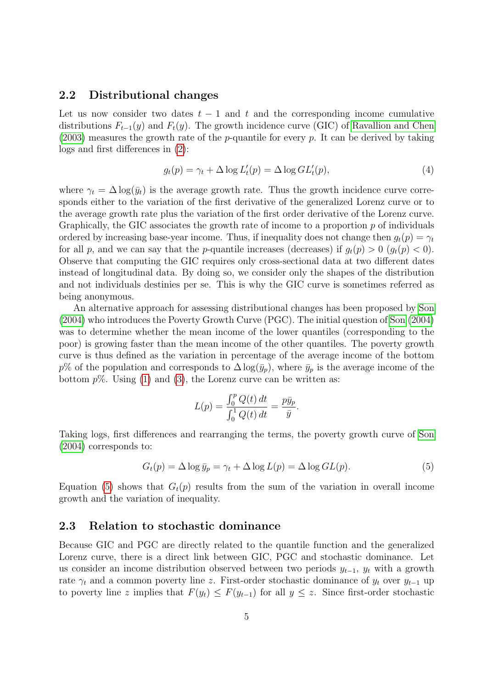#### 2.2 Distributional changes

Let us now consider two dates  $t - 1$  and t and the corresponding income cumulative distributions  $F_{t-1}(y)$  and  $F_t(y)$ . The growth incidence curve (GIC) of [Ravallion and Chen](#page-25-0)  $(2003)$  measures the growth rate of the *p*-quantile for every *p*. It can be derived by taking logs and first differences in [\(2\)](#page-4-0):

<span id="page-5-1"></span>
$$
g_t(p) = \gamma_t + \Delta \log L'_t(p) = \Delta \log GL'_t(p),\tag{4}
$$

where  $\gamma_t = \Delta \log(\bar{y}_t)$  is the average growth rate. Thus the growth incidence curve corresponds either to the variation of the first derivative of the generalized Lorenz curve or to the average growth rate plus the variation of the first order derivative of the Lorenz curve. Graphically, the GIC associates the growth rate of income to a proportion  $p$  of individuals ordered by increasing base-year income. Thus, if inequality does not change then  $g_t(p) = \gamma_t$ for all p, and we can say that the p-quantile increases (decreases) if  $g_t(p) > 0$   $(g_t(p) < 0)$ . Observe that computing the GIC requires only cross-sectional data at two different dates instead of longitudinal data. By doing so, we consider only the shapes of the distribution and not individuals destinies per se. This is why the GIC curve is sometimes referred as being anonymous.

An alternative approach for assessing distributional changes has been proposed by [Son](#page-25-1) [\(2004\)](#page-25-1) who introduces the Poverty Growth Curve (PGC). The initial question of [Son](#page-25-1) [\(2004\)](#page-25-1) was to determine whether the mean income of the lower quantiles (corresponding to the poor) is growing faster than the mean income of the other quantiles. The poverty growth curve is thus defined as the variation in percentage of the average income of the bottom  $p\%$  of the population and corresponds to  $\Delta \log(\bar{y}_p)$ , where  $\bar{y}_p$  is the average income of the bottom  $p\%$ . Using [\(1\)](#page-4-1) and [\(3\)](#page-4-2), the Lorenz curve can be written as:

$$
L(p) = \frac{\int_0^p Q(t) \, dt}{\int_0^1 Q(t) \, dt} = \frac{p \bar{y}_p}{\bar{y}}.
$$

Taking logs, first differences and rearranging the terms, the poverty growth curve of [Son](#page-25-1) [\(2004\)](#page-25-1) corresponds to:

<span id="page-5-0"></span>
$$
G_t(p) = \Delta \log \bar{y}_p = \gamma_t + \Delta \log L(p) = \Delta \log GL(p). \tag{5}
$$

Equation [\(5\)](#page-5-0) shows that  $G_t(p)$  results from the sum of the variation in overall income growth and the variation of inequality.

#### 2.3 Relation to stochastic dominance

Because GIC and PGC are directly related to the quantile function and the generalized Lorenz curve, there is a direct link between GIC, PGC and stochastic dominance. Let us consider an income distribution observed between two periods  $y_{t-1}$ ,  $y_t$  with a growth rate  $\gamma_t$  and a common poverty line z. First-order stochastic dominance of  $y_t$  over  $y_{t-1}$  up to poverty line z implies that  $F(y_t) \leq F(y_{t-1})$  for all  $y \leq z$ . Since first-order stochastic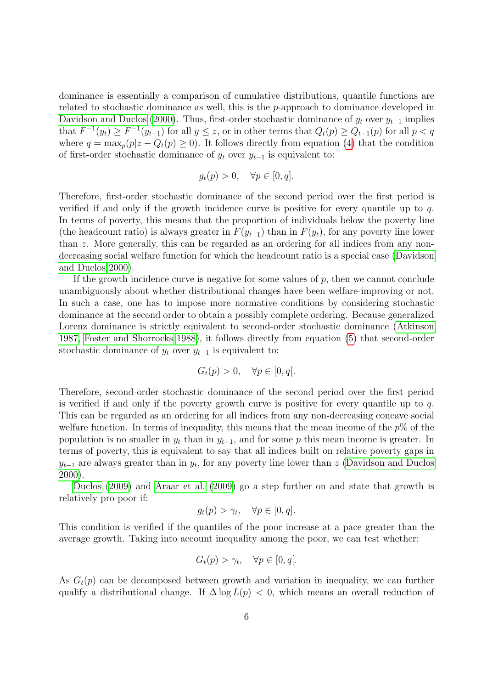dominance is essentially a comparison of cumulative distributions, quantile functions are related to stochastic dominance as well, this is the p-approach to dominance developed in [Davidson and Duclos](#page-24-8) [\(2000\)](#page-24-8). Thus, first-order stochastic dominance of  $y_t$  over  $y_{t-1}$  implies that  $F^{-1}(y_t) \ge F^{-1}(y_{t-1})$  for all  $y \le z$ , or in other terms that  $Q_t(p) \ge Q_{t-1}(p)$  for all  $p < q$ where  $q = \max_p(p|z - Q_t(p) \ge 0)$ . It follows directly from equation [\(4\)](#page-5-1) that the condition of first-order stochastic dominance of  $y_t$  over  $y_{t-1}$  is equivalent to:

$$
g_t(p) > 0, \quad \forall p \in [0, q].
$$

Therefore, first-order stochastic dominance of the second period over the first period is verified if and only if the growth incidence curve is positive for every quantile up to q. In terms of poverty, this means that the proportion of individuals below the poverty line (the headcount ratio) is always greater in  $F(y_{t-1})$  than in  $F(y_t)$ , for any poverty line lower than z. More generally, this can be regarded as an ordering for all indices from any nondecreasing social welfare function for which the headcount ratio is a special case [\(Davidson](#page-24-8) [and Duclos 2000\)](#page-24-8).

If the growth incidence curve is negative for some values of  $p$ , then we cannot conclude unambiguously about whether distributional changes have been welfare-improving or not. In such a case, one has to impose more normative conditions by considering stochastic dominance at the second order to obtain a possibly complete ordering. Because generalized Lorenz dominance is strictly equivalent to second-order stochastic dominance [\(Atkinson](#page-23-2) [1987,](#page-23-2) [Foster and Shorrocks 1988\)](#page-24-7), it follows directly from equation [\(5\)](#page-5-0) that second-order stochastic dominance of  $y_t$  over  $y_{t-1}$  is equivalent to:

$$
G_t(p) > 0, \quad \forall p \in [0, q[.
$$

Therefore, second-order stochastic dominance of the second period over the first period is verified if and only if the poverty growth curve is positive for every quantile up to  $q$ . This can be regarded as an ordering for all indices from any non-decreasing concave social welfare function. In terms of inequality, this means that the mean income of the  $p\%$  of the population is no smaller in  $y_t$  than in  $y_{t-1}$ , and for some p this mean income is greater. In terms of poverty, this is equivalent to say that all indices built on relative poverty gaps in  $y_{t-1}$  are always greater than in  $y_t$ , for any poverty line lower than z [\(Davidson and Duclos](#page-24-8) [2000\)](#page-24-8).

[Duclos](#page-24-0) [\(2009\)](#page-24-0) and [Araar et al.](#page-23-0) [\(2009\)](#page-23-0) go a step further on and state that growth is relatively pro-poor if:

$$
g_t(p) > \gamma_t, \quad \forall p \in [0, q].
$$

This condition is verified if the quantiles of the poor increase at a pace greater than the average growth. Taking into account inequality among the poor, we can test whether:

$$
G_t(p) > \gamma_t, \quad \forall p \in [0, q[.
$$

As  $G_t(p)$  can be decomposed between growth and variation in inequality, we can further qualify a distributional change. If  $\Delta \log L(p) < 0$ , which means an overall reduction of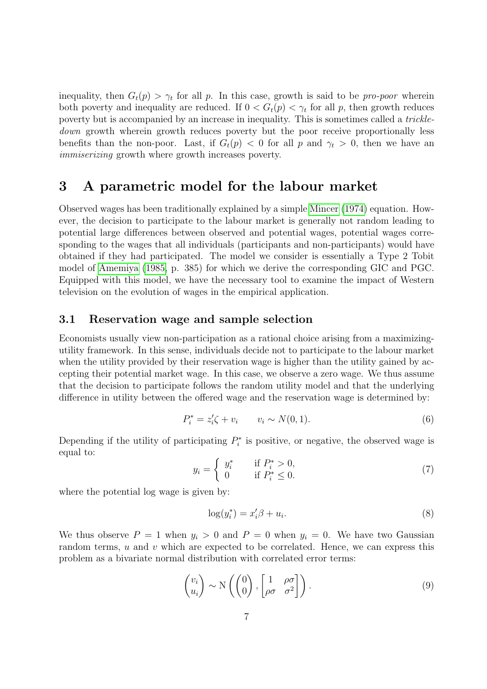inequality, then  $G_t(p) > \gamma_t$  for all p. In this case, growth is said to be pro-poor wherein both poverty and inequality are reduced. If  $0 < G_t(p) < \gamma_t$  for all p, then growth reduces poverty but is accompanied by an increase in inequality. This is sometimes called a trickledown growth wherein growth reduces poverty but the poor receive proportionally less benefits than the non-poor. Last, if  $G_t(p) < 0$  for all p and  $\gamma_t > 0$ , then we have an immiserizing growth where growth increases poverty.

### 3 A parametric model for the labour market

Observed wages has been traditionally explained by a simple [Mincer](#page-25-5) [\(1974\)](#page-25-5) equation. However, the decision to participate to the labour market is generally not random leading to potential large differences between observed and potential wages, potential wages corresponding to the wages that all individuals (participants and non-participants) would have obtained if they had participated. The model we consider is essentially a Type 2 Tobit model of [Amemiya](#page-23-3) [\(1985,](#page-23-3) p. 385) for which we derive the corresponding GIC and PGC. Equipped with this model, we have the necessary tool to examine the impact of Western television on the evolution of wages in the empirical application.

#### 3.1 Reservation wage and sample selection

Economists usually view non-participation as a rational choice arising from a maximizingutility framework. In this sense, individuals decide not to participate to the labour market when the utility provided by their reservation wage is higher than the utility gained by accepting their potential market wage. In this case, we observe a zero wage. We thus assume that the decision to participate follows the random utility model and that the underlying difference in utility between the offered wage and the reservation wage is determined by:

<span id="page-7-0"></span>
$$
P_i^* = z_i' \zeta + v_i \qquad v_i \sim N(0, 1). \tag{6}
$$

Depending if the utility of participating  $P_i^*$  is positive, or negative, the observed wage is equal to:

$$
y_i = \begin{cases} y_i^* & \text{if } P_i^* > 0, \\ 0 & \text{if } P_i^* \le 0. \end{cases}
$$
 (7)

where the potential log wage is given by:

$$
\log(y_i^*) = x_i'\beta + u_i. \tag{8}
$$

We thus observe  $P = 1$  when  $y_i > 0$  and  $P = 0$  when  $y_i = 0$ . We have two Gaussian random terms,  $u$  and  $v$  which are expected to be correlated. Hence, we can express this problem as a bivariate normal distribution with correlated error terms:

$$
\begin{pmatrix} v_i \\ u_i \end{pmatrix} \sim \mathcal{N} \left( \begin{pmatrix} 0 \\ 0 \end{pmatrix}, \begin{bmatrix} 1 & \rho \sigma \\ \rho \sigma & \sigma^2 \end{bmatrix} \right). \tag{9}
$$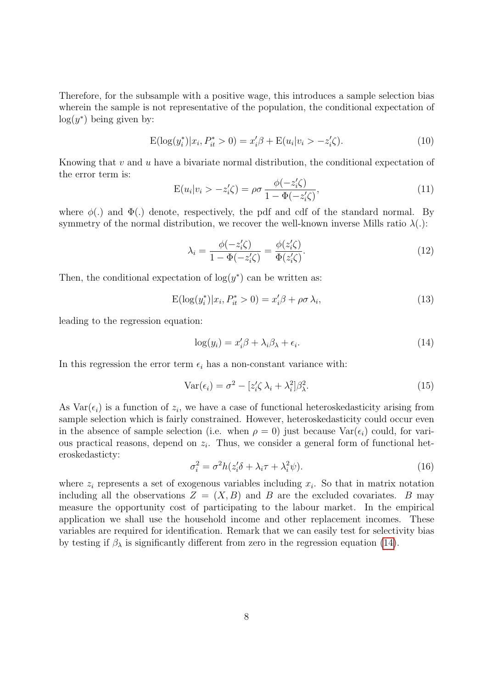Therefore, for the subsample with a positive wage, this introduces a sample selection bias wherein the sample is not representative of the population, the conditional expectation of  $log(y^*)$  being given by:

$$
E(\log(y_i^*)|x_i, P_{it}^* > 0) = x_i'\beta + E(u_i|v_i > -z_i'\zeta).
$$
\n(10)

Knowing that  $v$  and  $u$  have a bivariate normal distribution, the conditional expectation of the error term is:

$$
E(u_i|v_i > -z'_i\zeta) = \rho\sigma \frac{\phi(-z'_i\zeta)}{1 - \Phi(-z'_i\zeta)},\tag{11}
$$

where  $\phi(.)$  and  $\Phi(.)$  denote, respectively, the pdf and cdf of the standard normal. By symmetry of the normal distribution, we recover the well-known inverse Mills ratio  $\lambda(.)$ :

$$
\lambda_i = \frac{\phi(-z_i'\zeta)}{1 - \Phi(-z_i'\zeta)} = \frac{\phi(z_i'\zeta)}{\Phi(z_i'\zeta)}.
$$
\n(12)

Then, the conditional expectation of  $log(y^*)$  can be written as:

$$
E(\log(y_i^*)|x_i, P_{it}^* > 0) = x_i'\beta + \rho\sigma\lambda_i,
$$
\n(13)

leading to the regression equation:

<span id="page-8-0"></span>
$$
\log(y_i) = x_i' \beta + \lambda_i \beta_\lambda + \epsilon_i. \tag{14}
$$

In this regression the error term  $\epsilon_i$  has a non-constant variance with:

$$
Var(\epsilon_i) = \sigma^2 - \left[ z_i' \zeta \lambda_i + \lambda_i^2 \right] \beta_\lambda^2. \tag{15}
$$

As  $Var(\epsilon_i)$  is a function of  $z_i$ , we have a case of functional heteroskedasticity arising from sample selection which is fairly constrained. However, heteroskedasticity could occur even in the absence of sample selection (i.e. when  $\rho = 0$ ) just because Var( $\epsilon_i$ ) could, for various practical reasons, depend on  $z_i$ . Thus, we consider a general form of functional heteroskedasticty:

$$
\sigma_i^2 = \sigma^2 h(z_i' \delta + \lambda_i \tau + \lambda_i^2 \psi). \tag{16}
$$

where  $z_i$  represents a set of exogenous variables including  $x_i$ . So that in matrix notation including all the observations  $Z = (X, B)$  and B are the excluded covariates. B may measure the opportunity cost of participating to the labour market. In the empirical application we shall use the household income and other replacement incomes. These variables are required for identification. Remark that we can easily test for selectivity bias by testing if  $\beta_{\lambda}$  is significantly different from zero in the regression equation [\(14\)](#page-8-0).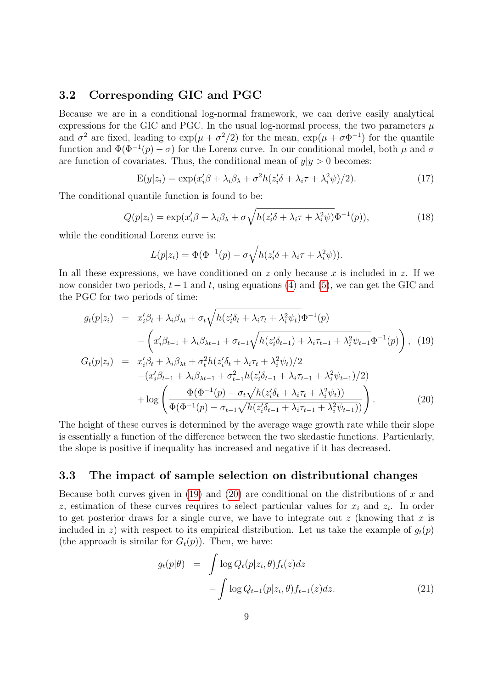#### 3.2 Corresponding GIC and PGC

Because we are in a conditional log-normal framework, we can derive easily analytical expressions for the GIC and PGC. In the usual log-normal process, the two parameters  $\mu$ and  $\sigma^2$  are fixed, leading to  $\exp(\mu + \sigma^2/2)$  for the mean,  $\exp(\mu + \sigma \Phi^{-1})$  for the quantile function and  $\Phi(\Phi^{-1}(p) - \sigma)$  for the Lorenz curve. In our conditional model, both  $\mu$  and  $\sigma$ are function of covariates. Thus, the conditional mean of  $y|y > 0$  becomes:

$$
E(y|z_i) = \exp(x_i'\beta + \lambda_i\beta_\lambda + \sigma^2 h(z_i'\delta + \lambda_i\tau + \lambda_i^2\psi)/2). \tag{17}
$$

The conditional quantile function is found to be:

<span id="page-9-1"></span>
$$
Q(p|z_i) = \exp(x_i'\beta + \lambda_i\beta_\lambda + \sigma\sqrt{h(z_i'\delta + \lambda_i\tau + \lambda_i^2\psi)}\Phi^{-1}(p)),\tag{18}
$$

while the conditional Lorenz curve is:

$$
L(p|z_i) = \Phi(\Phi^{-1}(p) - \sigma \sqrt{h(z_i'\delta + \lambda_i \tau + \lambda_i^2 \psi)}).
$$

In all these expressions, we have conditioned on z only because x is included in z. If we now consider two periods,  $t-1$  and t, using equations [\(4\)](#page-5-1) and [\(5\)](#page-5-0), we can get the GIC and the PGC for two periods of time:

<span id="page-9-0"></span>
$$
g_t(p|z_i) = x'_i \beta_t + \lambda_i \beta_{\lambda t} + \sigma_t \sqrt{h(z'_i \delta_t + \lambda_i \tau_t + \lambda_i^2 \psi_t)} \Phi^{-1}(p)
$$
  

$$
- \left( x'_i \beta_{t-1} + \lambda_i \beta_{\lambda t-1} + \sigma_{t-1} \sqrt{h(z'_i \delta_{t-1}) + \lambda_i \tau_{t-1} + \lambda_i^2 \psi_{t-1}} \Phi^{-1}(p) \right), \quad (19)
$$
  

$$
G_t(p|z_i) = x'_i \beta_t + \lambda_i \beta_{\lambda t} + \sigma_t^2 h(z'_i \delta_t + \lambda_i \tau_t + \lambda_i^2 \psi_t)/2
$$
  

$$
- (x'_i \beta_{t-1} + \lambda_i \beta_{\lambda t-1} + \sigma_{t-1}^2 h(z'_i \delta_{t-1} + \lambda_i \tau_{t-1} + \lambda_i^2 \psi_{t-1})/2)
$$

$$
+ \log \left( \frac{\Phi(\Phi^{-1}(p) - \sigma_t \sqrt{h(z_i^{\prime} \delta_t + \lambda_i \tau_t + \lambda_i^2 \psi_t)})}{\Phi(\Phi^{-1}(p) - \sigma_{t-1} \sqrt{h(z_i^{\prime} \delta_{t-1} + \lambda_i \tau_{t-1} + \lambda_i^2 \psi_{t-1})})} \right). \tag{20}
$$

The height of these curves is determined by the average wage growth rate while their slope is essentially a function of the difference between the two skedastic functions. Particularly, the slope is positive if inequality has increased and negative if it has decreased.

#### <span id="page-9-2"></span>3.3 The impact of sample selection on distributional changes

Because both curves given in  $(19)$  and  $(20)$  are conditional on the distributions of x and z, estimation of these curves requires to select particular values for  $x_i$  and  $z_i$ . In order to get posterior draws for a single curve, we have to integrate out  $z$  (knowing that  $x$  is included in z) with respect to its empirical distribution. Let us take the example of  $g_t(p)$ (the approach is similar for  $G_t(p)$ ). Then, we have:

$$
g_t(p|\theta) = \int \log Q_t(p|z_i, \theta) f_t(z) dz - \int \log Q_{t-1}(p|z_i, \theta) f_{t-1}(z) dz.
$$
 (21)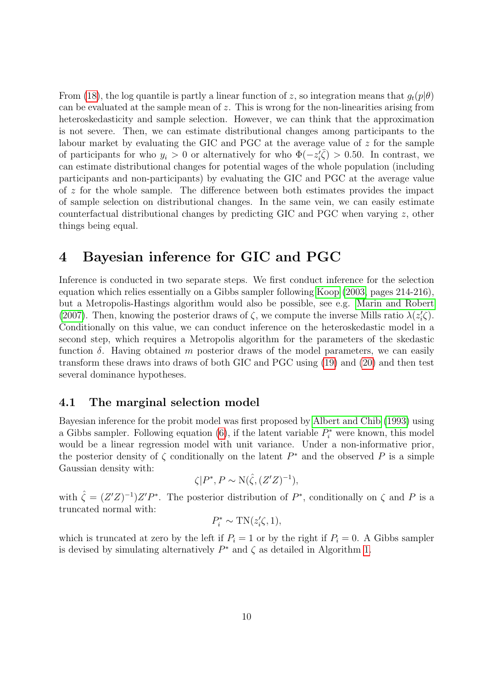From [\(18\)](#page-9-1), the log quantile is partly a linear function of z, so integration means that  $g_t(p|\theta)$ can be evaluated at the sample mean of  $z$ . This is wrong for the non-linearities arising from heteroskedasticity and sample selection. However, we can think that the approximation is not severe. Then, we can estimate distributional changes among participants to the labour market by evaluating the GIC and PGC at the average value of z for the sample of participants for who  $y_i > 0$  or alternatively for who  $\Phi(-z_i^{\prime\bar{\zeta}}) > 0.50$ . In contrast, we can estimate distributional changes for potential wages of the whole population (including participants and non-participants) by evaluating the GIC and PGC at the average value of z for the whole sample. The difference between both estimates provides the impact of sample selection on distributional changes. In the same vein, we can easily estimate counterfactual distributional changes by predicting GIC and PGC when varying  $z$ , other things being equal.

## 4 Bayesian inference for GIC and PGC

Inference is conducted in two separate steps. We first conduct inference for the selection equation which relies essentially on a Gibbs sampler following [Koop](#page-25-7) [\(2003,](#page-25-7) pages 214-216), but a Metropolis-Hastings algorithm would also be possible, see e.g. [Marin and Robert](#page-25-8) [\(2007\)](#page-25-8). Then, knowing the posterior draws of  $\zeta$ , we compute the inverse Mills ratio  $\lambda(z_i^{\prime}\zeta)$ . Conditionally on this value, we can conduct inference on the heteroskedastic model in a second step, which requires a Metropolis algorithm for the parameters of the skedastic function  $\delta$ . Having obtained m posterior draws of the model parameters, we can easily transform these draws into draws of both GIC and PGC using [\(19\)](#page-9-0) and [\(20\)](#page-9-0) and then test several dominance hypotheses.

#### 4.1 The marginal selection model

Bayesian inference for the probit model was first proposed by [Albert and Chib](#page-23-4) [\(1993\)](#page-23-4) using a Gibbs sampler. Following equation  $(6)$ , if the latent variable  $P_i^*$  were known, this model would be a linear regression model with unit variance. Under a non-informative prior, the posterior density of  $\zeta$  conditionally on the latent  $P^*$  and the observed P is a simple Gaussian density with:

$$
\zeta|P^*, P \sim \mathcal{N}(\hat{\zeta}, (Z'Z)^{-1}),
$$

with  $\hat{\zeta} = (Z'Z)^{-1}Z'P^*$ . The posterior distribution of  $P^*$ , conditionally on  $\zeta$  and P is a truncated normal with:

$$
P_i^* \sim \text{TN}(z_i'\zeta, 1),
$$

which is truncated at zero by the left if  $P_i = 1$  or by the right if  $P_i = 0$ . A Gibbs sampler is devised by simulating alternatively  $P^*$  and  $\zeta$  as detailed in Algorithm [1.](#page-11-0)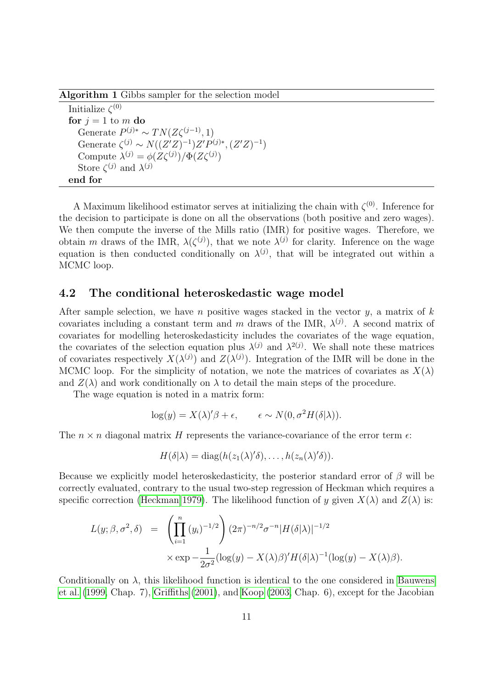Algorithm 1 Gibbs sampler for the selection model

<span id="page-11-0"></span>Initialize  $\zeta^{(0)}$ for  $j = 1$  to m do Generate  $P^{(j)*} \sim TN(Z\zeta^{(j-1)}, 1)$ Generate  $\zeta^{(j)} \sim N((Z'Z)^{-1})Z'P^{(j)*}, (Z'Z)^{-1})$ Compute  $\lambda^{(j)} = \phi(Z\zeta^{(j)})/\Phi(Z\zeta^{(j)})$ Store  $\zeta^{(j)}$  and  $\lambda^{(j)}$ end for

A Maximum likelihood estimator serves at initializing the chain with  $\zeta^{(0)}$ . Inference for the decision to participate is done on all the observations (both positive and zero wages). We then compute the inverse of the Mills ratio (IMR) for positive wages. Therefore, we obtain m draws of the IMR,  $\lambda(\zeta^{(j)})$ , that we note  $\lambda^{(j)}$  for clarity. Inference on the wage equation is then conducted conditionally on  $\lambda^{(j)}$ , that will be integrated out within a MCMC loop.

#### 4.2 The conditional heteroskedastic wage model

After sample selection, we have n positive wages stacked in the vector  $y$ , a matrix of k covariates including a constant term and m draws of the IMR,  $\lambda^{(j)}$ . A second matrix of covariates for modelling heteroskedasticity includes the covariates of the wage equation, the covariates of the selection equation plus  $\lambda^{(j)}$  and  $\lambda^{2(j)}$ . We shall note these matrices of covariates respectively  $X(\lambda^{(j)})$  and  $Z(\lambda^{(j)})$ . Integration of the IMR will be done in the MCMC loop. For the simplicity of notation, we note the matrices of covariates as  $X(\lambda)$ and  $Z(\lambda)$  and work conditionally on  $\lambda$  to detail the main steps of the procedure.

The wage equation is noted in a matrix form:

$$
\log(y) = X(\lambda)'\beta + \epsilon, \qquad \epsilon \sim N(0, \sigma^2 H(\delta|\lambda)).
$$

The  $n \times n$  diagonal matrix H represents the variance-covariance of the error term  $\epsilon$ :

$$
H(\delta|\lambda) = \mathrm{diag}(h(z_1(\lambda)'\delta), \ldots, h(z_n(\lambda)'\delta)).
$$

Because we explicitly model heteroskedasticity, the posterior standard error of  $\beta$  will be correctly evaluated, contrary to the usual two-step regression of Heckman which requires a specific correction [\(Heckman 1979\)](#page-24-9). The likelihood function of y given  $X(\lambda)$  and  $Z(\lambda)$  is:

<span id="page-11-1"></span>
$$
L(y; \beta, \sigma^2, \delta) = \left(\prod_{i=1}^n (y_i)^{-1/2}\right) (2\pi)^{-n/2} \sigma^{-n} |H(\delta|\lambda)|^{-1/2}
$$
  
 
$$
\times \exp{-\frac{1}{2\sigma^2} (\log(y) - X(\lambda)\beta)' H(\delta|\lambda)^{-1} (\log(y) - X(\lambda)\beta)}.
$$

Conditionally on  $\lambda$ , this likelihood function is identical to the one considered in [Bauwens](#page-23-5) [et al.](#page-23-5) [\(1999,](#page-23-5) Chap. 7), [Griffiths](#page-24-10) [\(2001\)](#page-24-10), and [Koop](#page-25-7) [\(2003,](#page-25-7) Chap. 6), except for the Jacobian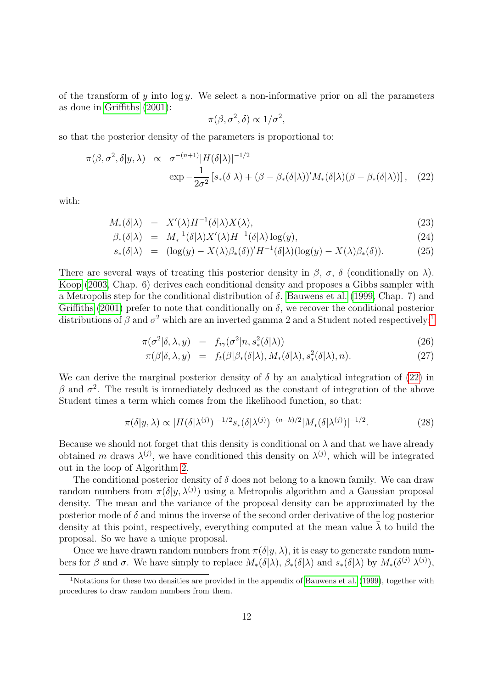of the transform of y into  $\log y$ . We select a non-informative prior on all the parameters as done in [Griffiths](#page-24-10) [\(2001\)](#page-24-10):

$$
\pi(\beta, \sigma^2, \delta) \propto 1/\sigma^2,
$$

so that the posterior density of the parameters is proportional to:

$$
\pi(\beta, \sigma^2, \delta | y, \lambda) \propto \sigma^{-(n+1)} |H(\delta|\lambda)|^{-1/2}
$$
  
 
$$
\exp -\frac{1}{2\sigma^2} \left[ s_*(\delta|\lambda) + (\beta - \beta_*(\delta|\lambda))' M_*(\delta|\lambda) (\beta - \beta_*(\delta|\lambda)) \right], \quad (22)
$$

with:

$$
M_*(\delta|\lambda) = X'(\lambda)H^{-1}(\delta|\lambda)X(\lambda), \tag{23}
$$

$$
\beta_*(\delta|\lambda) = M_*^{-1}(\delta|\lambda)X'(\lambda)H^{-1}(\delta|\lambda)\log(y),\tag{24}
$$

$$
s_*(\delta|\lambda) = (\log(y) - X(\lambda)\beta_*(\delta))' H^{-1}(\delta|\lambda)(\log(y) - X(\lambda)\beta_*(\delta)). \tag{25}
$$

There are several ways of treating this posterior density in  $\beta$ ,  $\sigma$ ,  $\delta$  (conditionally on  $\lambda$ ). [Koop](#page-25-7) [\(2003,](#page-25-7) Chap. 6) derives each conditional density and proposes a Gibbs sampler with a Metropolis step for the conditional distribution of  $\delta$ . [Bauwens et al.](#page-23-5) [\(1999,](#page-23-5) Chap. 7) and [Griffiths](#page-24-10) [\(2001\)](#page-24-10) prefer to note that conditionally on  $\delta$ , we recover the conditional posterior distributions of  $\beta$  and  $\sigma^2$  which are an inverted gamma 2 and a Student noted respectively:<sup>[1](#page-12-0)</sup>

$$
\pi(\sigma^2|\delta,\lambda,y) = f_{i\gamma}(\sigma^2|n,s_*^2(\delta|\lambda)) \tag{26}
$$

$$
\pi(\beta|\delta,\lambda,y) = f_t(\beta|\beta_*(\delta|\lambda), M_*(\delta|\lambda), s_*^2(\delta|\lambda), n). \tag{27}
$$

We can derive the marginal posterior density of  $\delta$  by an analytical integration of [\(22\)](#page-11-1) in β and  $σ<sup>2</sup>$ . The result is immediately deduced as the constant of integration of the above Student times a term which comes from the likelihood function, so that:

<span id="page-12-1"></span>
$$
\pi(\delta|y,\lambda) \propto |H(\delta|\lambda^{(j)})|^{-1/2} s_*(\delta|\lambda^{(j)})^{-(n-k)/2} |M_*(\delta|\lambda^{(j)})|^{-1/2}.
$$
 (28)

Because we should not forget that this density is conditional on  $\lambda$  and that we have already obtained m draws  $\lambda^{(j)}$ , we have conditioned this density on  $\lambda^{(j)}$ , which will be integrated out in the loop of Algorithm [2.](#page-13-0)

The conditional posterior density of  $\delta$  does not belong to a known family. We can draw random numbers from  $\pi(\delta | y, \lambda^{(j)})$  using a Metropolis algorithm and a Gaussian proposal density. The mean and the variance of the proposal density can be approximated by the posterior mode of  $\delta$  and minus the inverse of the second order derivative of the log posterior density at this point, respectively, everything computed at the mean value  $\lambda$  to build the proposal. So we have a unique proposal.

Once we have drawn random numbers from  $\pi(\delta|y,\lambda)$ , it is easy to generate random numbers for  $\beta$  and  $\sigma$ . We have simply to replace  $M_*(\delta|\lambda), \beta_*(\delta|\lambda)$  and  $s_*(\delta|\lambda)$  by  $M_*(\delta^{(j)}|\lambda^{(j)}),$ 

<span id="page-12-0"></span><sup>1</sup>Notations for these two densities are provided in the appendix of [Bauwens et al.](#page-23-5) [\(1999\)](#page-23-5), together with procedures to draw random numbers from them.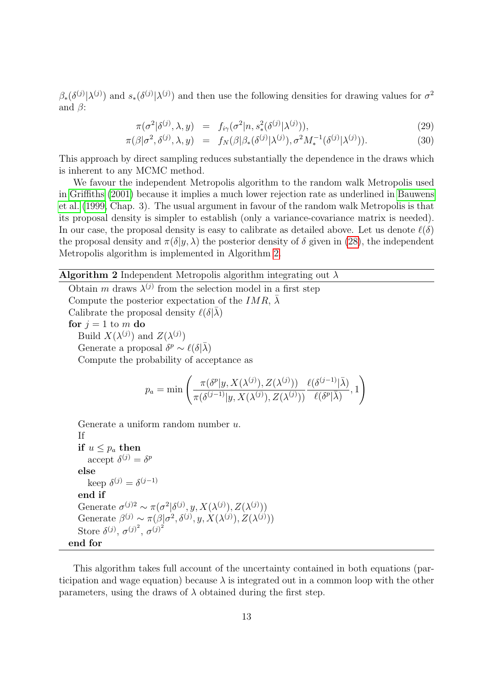$\beta_*(\delta^{(j)}|\lambda^{(j)})$  and  $s_*(\delta^{(j)}|\lambda^{(j)})$  and then use the following densities for drawing values for  $\sigma^2$ and  $\beta$ :

$$
\pi(\sigma^2|\delta^{(j)},\lambda,y) = f_{i\gamma}(\sigma^2|n,s_*^2(\delta^{(j)}|\lambda^{(j)})),
$$
\n(29)

$$
\pi(\beta|\sigma^2, \delta^{(j)}, \lambda, y) = f_N(\beta|\beta_*(\delta^{(j)}|\lambda^{(j)}), \sigma^2 M_*^{-1}(\delta^{(j)}|\lambda^{(j)})).
$$
\n(30)

This approach by direct sampling reduces substantially the dependence in the draws which is inherent to any MCMC method.

We favour the independent Metropolis algorithm to the random walk Metropolis used in [Griffiths](#page-24-10) [\(2001\)](#page-24-10) because it implies a much lower rejection rate as underlined in [Bauwens](#page-23-5) [et al.](#page-23-5) [\(1999,](#page-23-5) Chap. 3). The usual argument in favour of the random walk Metropolis is that its proposal density is simpler to establish (only a variance-covariance matrix is needed). In our case, the proposal density is easy to calibrate as detailed above. Let us denote  $\ell(\delta)$ the proposal density and  $\pi(\delta|y, \lambda)$  the posterior density of  $\delta$  given in [\(28\)](#page-12-1), the independent Metropolis algorithm is implemented in Algorithm [2.](#page-13-0)

 $\pi(\delta^{(j-1)} | y, X(\lambda^{(j)}), Z(\lambda^{(j)}))$ 

 $\setminus$ 

#### **Algorithm 2** Independent Metropolis algorithm integrating out  $\lambda$

<span id="page-13-0"></span>Obtain m draws  $\lambda^{(j)}$  from the selection model in a first step Compute the posterior expectation of the IMR,  $\bar{\lambda}$ Calibrate the proposal density  $\ell(\delta|\bar{\lambda})$ for  $j = 1$  to m do Build  $X(\lambda^{(j)})$  and  $Z(\lambda^{(j)})$ Generate a proposal  $\delta^p \sim \ell(\delta|\bar{\lambda})$ Compute the probability of acceptance as  $p_a = \min \left( \frac{\pi(\delta^p | y, X(\lambda^{(j)}), Z(\lambda^{(j)}))}{\frac{c(s(i-1))}{\sigma(\lambda^{(j)})} \frac{C(\lambda^{(j)})}{\sigma(\lambda^{(j)})}} \right)$  $\ell(\delta^{(j-1)}|\bar{\lambda})$  $\frac{\partial}{\partial \ell(\delta^p|\bar{\lambda})}, 1$ 

Generate a uniform random number u.

```
If
if u \leq p_a then
     accept \delta^{(j)} = \delta^pelse
     keep \delta^{(j)} = \delta^{(j-1)}end if
Generate \sigma^{(j)2} \sim \pi(\sigma^2 | \delta^{(j)}, y, X(\lambda^{(j)}), Z(\lambda^{(j)}))Generate \beta^{(j)} \sim \pi(\beta | \sigma^2, \delta^{(j)}, y, X(\lambda^{(j)}), Z(\lambda^{(j)}))Store \delta^{(j)}, \sigma^{(j)^2}, \sigma^{(j)^2}end for
```
This algorithm takes full account of the uncertainty contained in both equations (participation and wage equation) because  $\lambda$  is integrated out in a common loop with the other parameters, using the draws of  $\lambda$  obtained during the first step.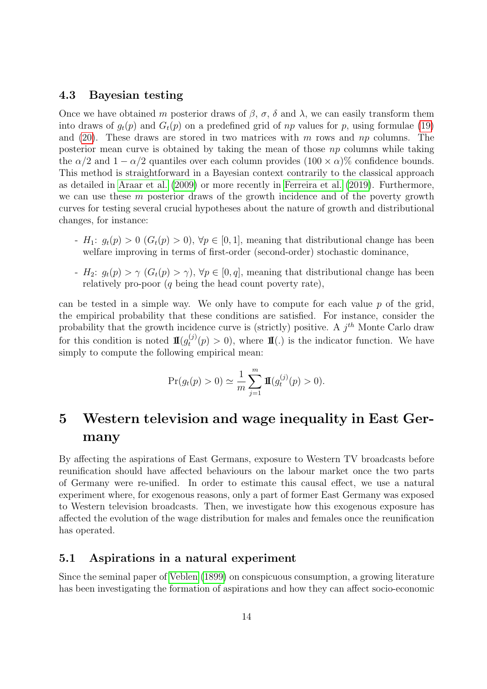#### 4.3 Bayesian testing

Once we have obtained m posterior draws of  $\beta$ ,  $\sigma$ ,  $\delta$  and  $\lambda$ , we can easily transform them into draws of  $q_t(p)$  and  $G_t(p)$  on a predefined grid of np values for p, using formulae [\(19\)](#page-9-0) and [\(20\)](#page-9-0). These draws are stored in two matrices with  $m$  rows and  $np$  columns. The posterior mean curve is obtained by taking the mean of those np columns while taking the  $\alpha/2$  and  $1 - \alpha/2$  quantiles over each column provides  $(100 \times \alpha)$ % confidence bounds. This method is straightforward in a Bayesian context contrarily to the classical approach as detailed in [Araar et al.](#page-23-0) [\(2009\)](#page-23-0) or more recently in [Ferreira et al.](#page-24-4) [\(2019\)](#page-24-4). Furthermore, we can use these  $m$  posterior draws of the growth incidence and of the poverty growth curves for testing several crucial hypotheses about the nature of growth and distributional changes, for instance:

- H<sub>1</sub>:  $g_t(p) > 0$  ( $G_t(p) > 0$ ),  $\forall p \in [0, 1]$ , meaning that distributional change has been welfare improving in terms of first-order (second-order) stochastic dominance,
- $H_2$ :  $g_t(p) > \gamma$   $(G_t(p) > \gamma)$ ,  $\forall p \in [0, q]$ , meaning that distributional change has been relatively pro-poor  $(q \text{ being the head count powerly rate})$ ,

can be tested in a simple way. We only have to compute for each value  $p$  of the grid, the empirical probability that these conditions are satisfied. For instance, consider the probability that the growth incidence curve is (strictly) positive. A  $j<sup>th</sup>$  Monte Carlo draw for this condition is noted  $\mathbf{I\!I}(g_t^{(j)})$  $t^{(0)}(p) > 0$ , where **II**(.) is the indicator function. We have simply to compute the following empirical mean:

$$
\Pr(g_t(p) > 0) \simeq \frac{1}{m} \sum_{j=1}^{m} \mathbf{I}\!\mathbf{I}(g_t^{(j)}(p) > 0).
$$

# 5 Western television and wage inequality in East Germany

By affecting the aspirations of East Germans, exposure to Western TV broadcasts before reunification should have affected behaviours on the labour market once the two parts of Germany were re-unified. In order to estimate this causal effect, we use a natural experiment where, for exogenous reasons, only a part of former East Germany was exposed to Western television broadcasts. Then, we investigate how this exogenous exposure has affected the evolution of the wage distribution for males and females once the reunification has operated.

#### 5.1 Aspirations in a natural experiment

Since the seminal paper of [Veblen](#page-25-9) [\(1899\)](#page-25-9) on conspicuous consumption, a growing literature has been investigating the formation of aspirations and how they can affect socio-economic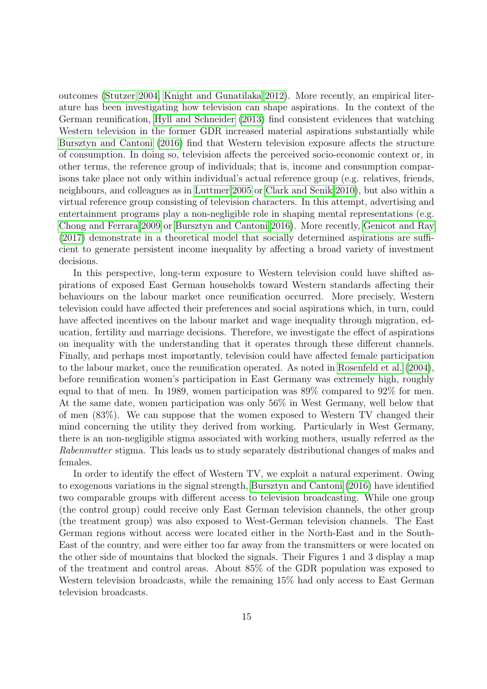outcomes [\(Stutzer 2004,](#page-25-10) [Knight and Gunatilaka 2012\)](#page-25-11). More recently, an empirical literature has been investigating how television can shape aspirations. In the context of the German reunification, [Hyll and Schneider](#page-25-12) [\(2013\)](#page-25-12) find consistent evidences that watching Western television in the former GDR increased material aspirations substantially while [Bursztyn and Cantoni](#page-24-11) [\(2016\)](#page-24-11) find that Western television exposure affects the structure of consumption. In doing so, television affects the perceived socio-economic context or, in other terms, the reference group of individuals; that is, income and consumption comparisons take place not only within individual's actual reference group (e.g. relatives, friends, neighbours, and colleagues as in [Luttmer 2005](#page-25-13) or [Clark and Senik 2010\)](#page-24-12), but also within a virtual reference group consisting of television characters. In this attempt, advertising and entertainment programs play a non-negligible role in shaping mental representations (e.g. [Chong and Ferrara 2009](#page-24-13) or [Bursztyn and Cantoni 2016\)](#page-24-11). More recently, [Genicot and Ray](#page-24-14) [\(2017\)](#page-24-14) demonstrate in a theoretical model that socially determined aspirations are sufficient to generate persistent income inequality by affecting a broad variety of investment decisions.

In this perspective, long-term exposure to Western television could have shifted aspirations of exposed East German households toward Western standards affecting their behaviours on the labour market once reunification occurred. More precisely, Western television could have affected their preferences and social aspirations which, in turn, could have affected incentives on the labour market and wage inequality through migration, education, fertility and marriage decisions. Therefore, we investigate the effect of aspirations on inequality with the understanding that it operates through these different channels. Finally, and perhaps most importantly, television could have affected female participation to the labour market, once the reunification operated. As noted in [Rosenfeld et al.](#page-25-14) [\(2004\)](#page-25-14), before reunification women's participation in East Germany was extremely high, roughly equal to that of men. In 1989, women participation was 89% compared to 92% for men. At the same date, women participation was only 56% in West Germany, well below that of men (83%). We can suppose that the women exposed to Western TV changed their mind concerning the utility they derived from working. Particularly in West Germany, there is an non-negligible stigma associated with working mothers, usually referred as the Rabenmutter stigma. This leads us to study separately distributional changes of males and females.

In order to identify the effect of Western TV, we exploit a natural experiment. Owing to exogenous variations in the signal strength, [Bursztyn and Cantoni](#page-24-11) [\(2016\)](#page-24-11) have identified two comparable groups with different access to television broadcasting. While one group (the control group) could receive only East German television channels, the other group (the treatment group) was also exposed to West-German television channels. The East German regions without access were located either in the North-East and in the South-East of the country, and were either too far away from the transmitters or were located on the other side of mountains that blocked the signals. Their Figures 1 and 3 display a map of the treatment and control areas. About 85% of the GDR population was exposed to Western television broadcasts, while the remaining 15% had only access to East German television broadcasts.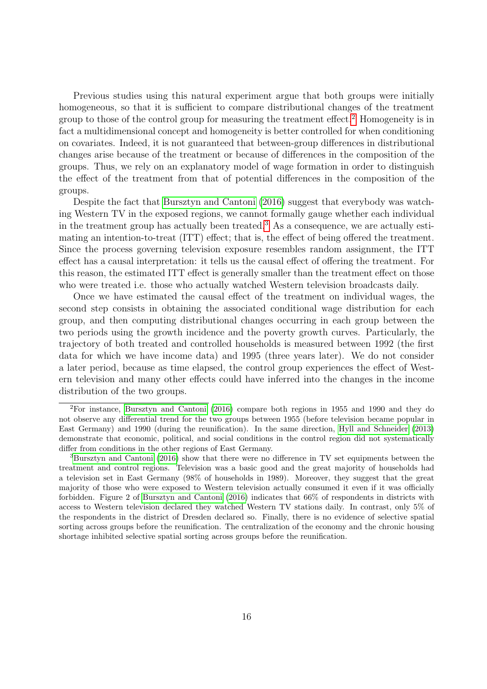Previous studies using this natural experiment argue that both groups were initially homogeneous, so that it is sufficient to compare distributional changes of the treatment group to those of the control group for measuring the treatment effect.[2](#page-16-0) Homogeneity is in fact a multidimensional concept and homogeneity is better controlled for when conditioning on covariates. Indeed, it is not guaranteed that between-group differences in distributional changes arise because of the treatment or because of differences in the composition of the groups. Thus, we rely on an explanatory model of wage formation in order to distinguish the effect of the treatment from that of potential differences in the composition of the groups.

Despite the fact that [Bursztyn and Cantoni](#page-24-11) [\(2016\)](#page-24-11) suggest that everybody was watching Western TV in the exposed regions, we cannot formally gauge whether each individual in the treatment group has actually been treated.<sup>[3](#page-16-1)</sup> As a consequence, we are actually estimating an intention-to-treat (ITT) effect; that is, the effect of being offered the treatment. Since the process governing television exposure resembles random assignment, the ITT effect has a causal interpretation: it tells us the causal effect of offering the treatment. For this reason, the estimated ITT effect is generally smaller than the treatment effect on those who were treated i.e. those who actually watched Western television broadcasts daily.

Once we have estimated the causal effect of the treatment on individual wages, the second step consists in obtaining the associated conditional wage distribution for each group, and then computing distributional changes occurring in each group between the two periods using the growth incidence and the poverty growth curves. Particularly, the trajectory of both treated and controlled households is measured between 1992 (the first data for which we have income data) and 1995 (three years later). We do not consider a later period, because as time elapsed, the control group experiences the effect of Western television and many other effects could have inferred into the changes in the income distribution of the two groups.

<span id="page-16-0"></span><sup>2</sup>For instance, [Bursztyn and Cantoni](#page-24-11) [\(2016\)](#page-24-11) compare both regions in 1955 and 1990 and they do not observe any differential trend for the two groups between 1955 (before television became popular in East Germany) and 1990 (during the reunification). In the same direction, [Hyll and Schneider](#page-25-12) [\(2013\)](#page-25-12) demonstrate that economic, political, and social conditions in the control region did not systematically differ from conditions in the other regions of East Germany.

<span id="page-16-1"></span><sup>3</sup>[Bursztyn and Cantoni](#page-24-11) [\(2016\)](#page-24-11) show that there were no difference in TV set equipments between the treatment and control regions. Television was a basic good and the great majority of households had a television set in East Germany (98% of households in 1989). Moreover, they suggest that the great majority of those who were exposed to Western television actually consumed it even if it was officially forbidden. Figure 2 of [Bursztyn and Cantoni](#page-24-11) [\(2016\)](#page-24-11) indicates that 66% of respondents in districts with access to Western television declared they watched Western TV stations daily. In contrast, only 5% of the respondents in the district of Dresden declared so. Finally, there is no evidence of selective spatial sorting across groups before the reunification. The centralization of the economy and the chronic housing shortage inhibited selective spatial sorting across groups before the reunification.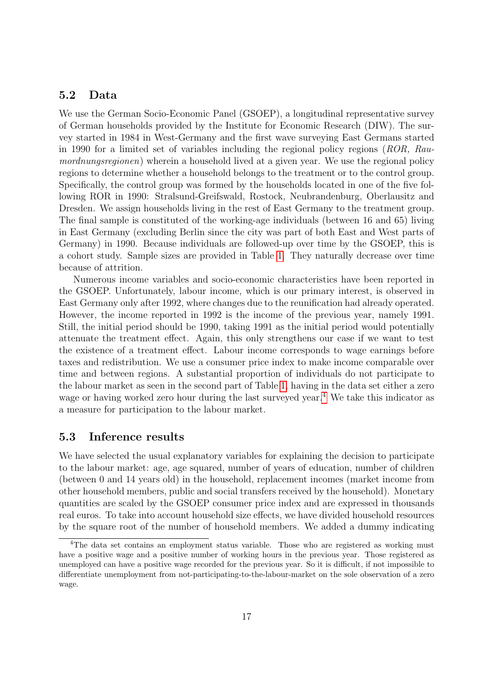#### 5.2 Data

We use the German Socio-Economic Panel (GSOEP), a longitudinal representative survey of German households provided by the Institute for Economic Research (DIW). The survey started in 1984 in West-Germany and the first wave surveying East Germans started in 1990 for a limited set of variables including the regional policy regions (ROR, Raumordnungsregionen) wherein a household lived at a given year. We use the regional policy regions to determine whether a household belongs to the treatment or to the control group. Specifically, the control group was formed by the households located in one of the five following ROR in 1990: Stralsund-Greifswald, Rostock, Neubrandenburg, Oberlausitz and Dresden. We assign households living in the rest of East Germany to the treatment group. The final sample is constituted of the working-age individuals (between 16 and 65) living in East Germany (excluding Berlin since the city was part of both East and West parts of Germany) in 1990. Because individuals are followed-up over time by the GSOEP, this is a cohort study. Sample sizes are provided in Table [1.](#page-18-0) They naturally decrease over time because of attrition.

Numerous income variables and socio-economic characteristics have been reported in the GSOEP. Unfortunately, labour income, which is our primary interest, is observed in East Germany only after 1992, where changes due to the reunification had already operated. However, the income reported in 1992 is the income of the previous year, namely 1991. Still, the initial period should be 1990, taking 1991 as the initial period would potentially attenuate the treatment effect. Again, this only strengthens our case if we want to test the existence of a treatment effect. Labour income corresponds to wage earnings before taxes and redistribution. We use a consumer price index to make income comparable over time and between regions. A substantial proportion of individuals do not participate to the labour market as seen in the second part of Table [1,](#page-18-0) having in the data set either a zero wage or having worked zero hour during the last surveyed year.<sup>[4](#page-17-0)</sup> We take this indicator as a measure for participation to the labour market.

#### 5.3 Inference results

We have selected the usual explanatory variables for explaining the decision to participate to the labour market: age, age squared, number of years of education, number of children (between 0 and 14 years old) in the household, replacement incomes (market income from other household members, public and social transfers received by the household). Monetary quantities are scaled by the GSOEP consumer price index and are expressed in thousands real euros. To take into account household size effects, we have divided household resources by the square root of the number of household members. We added a dummy indicating

<span id="page-17-0"></span><sup>&</sup>lt;sup>4</sup>The data set contains an employment status variable. Those who are registered as working must have a positive wage and a positive number of working hours in the previous year. Those registered as unemployed can have a positive wage recorded for the previous year. So it is difficult, if not impossible to differentiate unemployment from not-participating-to-the-labour-market on the sole observation of a zero wage.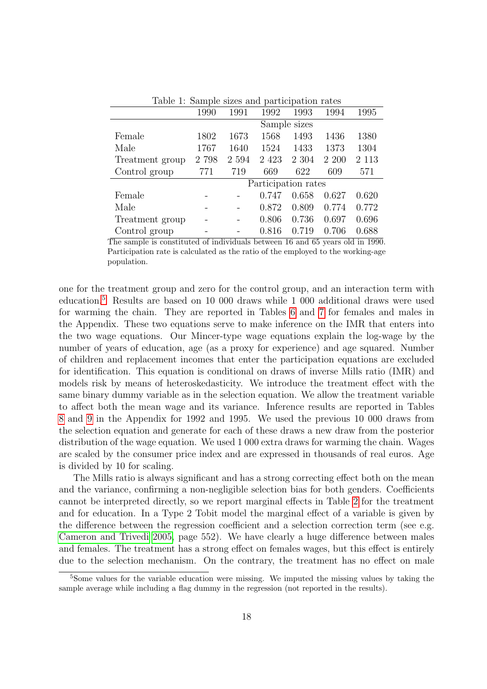<span id="page-18-0"></span>

| Lable 1. Dailiple sizes and participation rates |              |         |         |                     |       |         |  |  |
|-------------------------------------------------|--------------|---------|---------|---------------------|-------|---------|--|--|
|                                                 | 1990         | 1991    | 1992    | 1993                | 1994  | 1995    |  |  |
|                                                 | Sample sizes |         |         |                     |       |         |  |  |
| Female                                          | 1802         | 1673    | 1568    | 1493                | 1436  | 1380    |  |  |
| Male                                            | 1767         | 1640    | 1524    | 1433                | 1373  | 1304    |  |  |
| Treatment group                                 | 2 798        | 2 5 9 4 | 2 4 2 3 | 2 3 0 4             | 2 200 | 2 1 1 3 |  |  |
| Control group                                   | 771          | 719     | 669     | 622                 | 609   | 571     |  |  |
|                                                 |              |         |         | Participation rates |       |         |  |  |
| Female                                          |              |         | 0.747   | 0.658               | 0.627 | 0.620   |  |  |
| Male                                            |              |         | 0.872   | 0.809               | 0.774 | 0.772   |  |  |
| Treatment group                                 |              |         | 0.806   | 0.736               | 0.697 | 0.696   |  |  |
| Control group                                   |              |         | 0.816   | 0.719               | 0.706 | 0.688   |  |  |

Table 1: Sample sizes and participation rates

The sample is constituted of individuals between 16 and 65 years old in 1990. Participation rate is calculated as the ratio of the employed to the working-age population.

one for the treatment group and zero for the control group, and an interaction term with education.[5](#page-18-1) Results are based on 10 000 draws while 1 000 additional draws were used for warming the chain. They are reported in Tables [6](#page-26-0) and [7](#page-26-1) for females and males in the Appendix. These two equations serve to make inference on the IMR that enters into the two wage equations. Our Mincer-type wage equations explain the log-wage by the number of years of education, age (as a proxy for experience) and age squared. Number of children and replacement incomes that enter the participation equations are excluded for identification. This equation is conditional on draws of inverse Mills ratio (IMR) and models risk by means of heteroskedasticity. We introduce the treatment effect with the same binary dummy variable as in the selection equation. We allow the treatment variable to affect both the mean wage and its variance. Inference results are reported in Tables [8](#page-27-0) and [9](#page-27-1) in the Appendix for 1992 and 1995. We used the previous 10 000 draws from the selection equation and generate for each of these draws a new draw from the posterior distribution of the wage equation. We used 1 000 extra draws for warming the chain. Wages are scaled by the consumer price index and are expressed in thousands of real euros. Age is divided by 10 for scaling.

The Mills ratio is always significant and has a strong correcting effect both on the mean and the variance, confirming a non-negligible selection bias for both genders. Coefficients cannot be interpreted directly, so we report marginal effects in Table [2](#page-19-0) for the treatment and for education. In a Type 2 Tobit model the marginal effect of a variable is given by the difference between the regression coefficient and a selection correction term (see e.g. [Cameron and Trivedi 2005,](#page-24-15) page 552). We have clearly a huge difference between males and females. The treatment has a strong effect on females wages, but this effect is entirely due to the selection mechanism. On the contrary, the treatment has no effect on male

<span id="page-18-1"></span><sup>&</sup>lt;sup>5</sup>Some values for the variable education were missing. We imputed the missing values by taking the sample average while including a flag dummy in the regression (not reported in the results).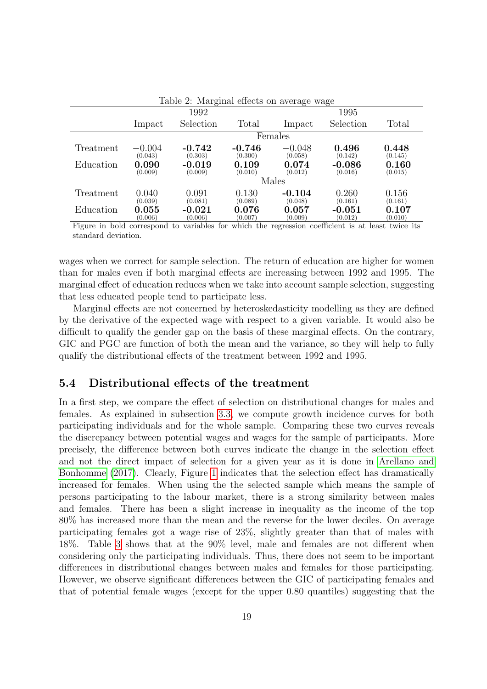<span id="page-19-0"></span>

| Table 2: Marginal effects on average wage |                     |                     |                     |                        |                     |                  |  |  |  |  |  |
|-------------------------------------------|---------------------|---------------------|---------------------|------------------------|---------------------|------------------|--|--|--|--|--|
|                                           |                     | 1992                |                     |                        | 1995                |                  |  |  |  |  |  |
|                                           | Impact              | Selection           | Total               | Impact                 | Selection           | Total            |  |  |  |  |  |
|                                           | Females             |                     |                     |                        |                     |                  |  |  |  |  |  |
| Treatment                                 | $-0.004$<br>(0.043) | $-0.742$<br>(0.303) | $-0.746$<br>(0.300) | $-0.048$<br>(0.058)    | 0.496<br>(0.142)    | 0.448<br>(0.145) |  |  |  |  |  |
| Education                                 | 0.090<br>(0.009)    | $-0.019$<br>(0.009) | 0.109<br>(0.010)    | 0.074<br>(0.012)       | $-0.086$<br>(0.016) | 0.160<br>(0.015) |  |  |  |  |  |
|                                           |                     |                     |                     | Males                  |                     |                  |  |  |  |  |  |
| Treatment                                 | 0.040<br>(0.039)    | 0.091<br>(0.081)    | 0.130<br>(0.089)    | $-0.104$<br>(0.048)    | 0.260<br>(0.161)    | 0.156<br>(0.161) |  |  |  |  |  |
| Education                                 | 0.055<br>(0.006)    | $-0.021$<br>(0.006) | 0.076<br>(0.007)    | $\,0.057\,$<br>(0.009) | $-0.051$<br>(0.012) | 0.107<br>(0.010) |  |  |  |  |  |

Figure in bold correspond to variables for which the regression coefficient is at least twice its standard deviation.

wages when we correct for sample selection. The return of education are higher for women than for males even if both marginal effects are increasing between 1992 and 1995. The marginal effect of education reduces when we take into account sample selection, suggesting that less educated people tend to participate less.

Marginal effects are not concerned by heteroskedasticity modelling as they are defined by the derivative of the expected wage with respect to a given variable. It would also be difficult to qualify the gender gap on the basis of these marginal effects. On the contrary, GIC and PGC are function of both the mean and the variance, so they will help to fully qualify the distributional effects of the treatment between 1992 and 1995.

#### 5.4 Distributional effects of the treatment

In a first step, we compare the effect of selection on distributional changes for males and females. As explained in subsection [3.3,](#page-9-2) we compute growth incidence curves for both participating individuals and for the whole sample. Comparing these two curves reveals the discrepancy between potential wages and wages for the sample of participants. More precisely, the difference between both curves indicate the change in the selection effect and not the direct impact of selection for a given year as it is done in [Arellano and](#page-23-1) [Bonhomme](#page-23-1) [\(2017\)](#page-23-1). Clearly, Figure [1](#page-20-0) indicates that the selection effect has dramatically increased for females. When using the the selected sample which means the sample of persons participating to the labour market, there is a strong similarity between males and females. There has been a slight increase in inequality as the income of the top 80% has increased more than the mean and the reverse for the lower deciles. On average participating females got a wage rise of 23%, slightly greater than that of males with 18%. Table [3](#page-20-1) shows that at the 90% level, male and females are not different when considering only the participating individuals. Thus, there does not seem to be important differences in distributional changes between males and females for those participating. However, we observe significant differences between the GIC of participating females and that of potential female wages (except for the upper 0.80 quantiles) suggesting that the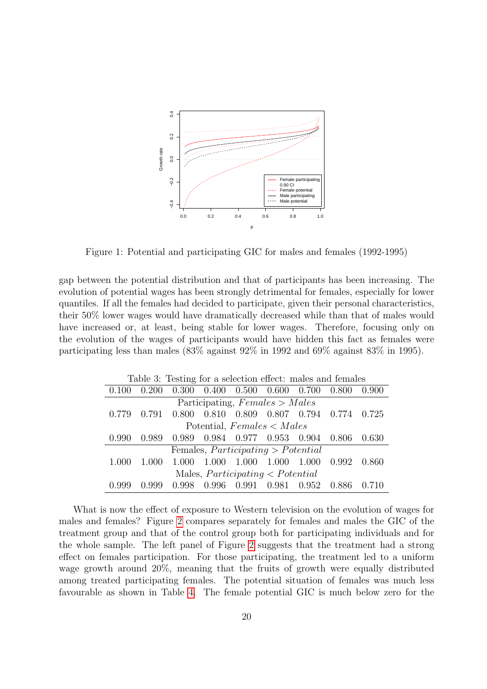

<span id="page-20-0"></span>Figure 1: Potential and participating GIC for males and females (1992-1995)

gap between the potential distribution and that of participants has been increasing. The evolution of potential wages has been strongly detrimental for females, especially for lower quantiles. If all the females had decided to participate, given their personal characteristics, their 50% lower wages would have dramatically decreased while than that of males would have increased or, at least, being stable for lower wages. Therefore, focusing only on the evolution of the wages of participants would have hidden this fact as females were participating less than males (83% against 92% in 1992 and 69% against 83% in 1995).

<span id="page-20-1"></span>

| Table 3: Testing for a selection effect: males and females |                                  |       |        |                                                 |                   |                               |        |       |  |  |  |  |
|------------------------------------------------------------|----------------------------------|-------|--------|-------------------------------------------------|-------------------|-------------------------------|--------|-------|--|--|--|--|
| 0.100                                                      | 0.200                            | 0.300 |        | $0.400$ $0.500$ $0.600$ $0.700$                 |                   |                               | 0.800  | 0.900 |  |  |  |  |
|                                                            | Participating, $Females > Males$ |       |        |                                                 |                   |                               |        |       |  |  |  |  |
| 0.779                                                      | 0.791                            | 0.800 |        |                                                 |                   | 0.810 0.809 0.807 0.794 0.774 |        | 0.725 |  |  |  |  |
|                                                            |                                  |       |        | Potential, $F$ <i>emales</i> $\lt$ <i>Males</i> |                   |                               |        |       |  |  |  |  |
| 0.990                                                      | 0.989                            | 0.989 |        |                                                 |                   | 0.984 0.977 0.953 0.904 0.806 |        | 0.630 |  |  |  |  |
|                                                            |                                  |       |        | Females, $Participating > Potential$            |                   |                               |        |       |  |  |  |  |
| 1.000                                                      | 1.000                            | 1.000 | -1.000 | $1.000 \quad 1.000$                             |                   | 1.000 0.992                   |        | 0.860 |  |  |  |  |
|                                                            |                                  |       |        | Males, $Participating < Potential$              |                   |                               |        |       |  |  |  |  |
|                                                            | O 999                            | 0.998 | 0.996  |                                                 | 0.991 0.981 0.952 |                               | -0.886 |       |  |  |  |  |

What is now the effect of exposure to Western television on the evolution of wages for males and females? Figure [2](#page-21-0) compares separately for females and males the GIC of the treatment group and that of the control group both for participating individuals and for the whole sample. The left panel of Figure [2](#page-21-0) suggests that the treatment had a strong effect on females participation. For those participating, the treatment led to a uniform wage growth around 20%, meaning that the fruits of growth were equally distributed among treated participating females. The potential situation of females was much less favourable as shown in Table [4.](#page-21-1) The female potential GIC is much below zero for the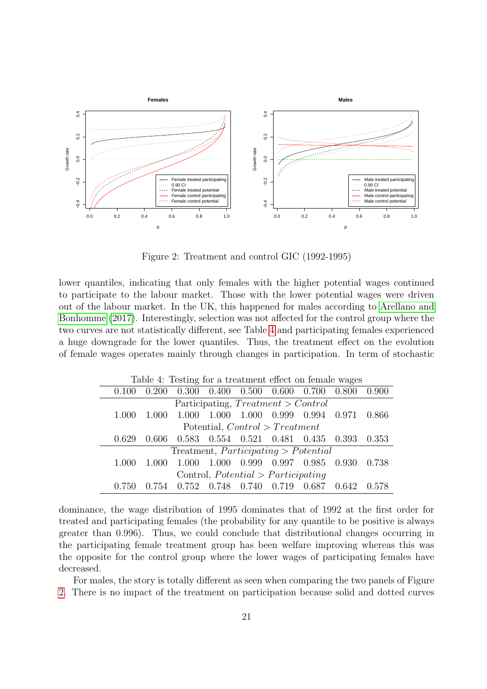

<span id="page-21-0"></span>Figure 2: Treatment and control GIC (1992-1995)

lower quantiles, indicating that only females with the higher potential wages continued to participate to the labour market. Those with the lower potential wages were driven out of the labour market. In the UK, this happened for males according to [Arellano and](#page-23-1) [Bonhomme](#page-23-1) [\(2017\)](#page-23-1). Interestingly, selection was not affected for the control group where the two curves are not statistically different, see Table [4](#page-21-1) and participating females experienced a huge downgrade for the lower quantiles. Thus, the treatment effect on the evolution of female wages operates mainly through changes in participation. In term of stochastic

<span id="page-21-1"></span>

| Table 4: Testing for a treatment effect on female wages |                                      |         |         |       |                                                 |       |       |       |  |  |  |  |
|---------------------------------------------------------|--------------------------------------|---------|---------|-------|-------------------------------------------------|-------|-------|-------|--|--|--|--|
| 0.100                                                   | 0.200                                |         |         |       | $0.300$ $0.400$ $0.500$ $0.600$ $0.700$ $0.800$ |       |       | 0.900 |  |  |  |  |
|                                                         | Participating, $Treatment > Control$ |         |         |       |                                                 |       |       |       |  |  |  |  |
| 1.000                                                   | 1.000                                | - 1.000 | - 1.000 |       | 1.000 0.999 0.994 0.971                         |       |       | 0.866 |  |  |  |  |
|                                                         |                                      |         |         |       | Potential, $Control > Treatment$                |       |       |       |  |  |  |  |
| 0.629                                                   | 0.606                                | 0.583   |         |       | 0.554 0.521 0.481 0.435 0.393                   |       |       | 0.353 |  |  |  |  |
|                                                         |                                      |         |         |       | Treatment, $Participating > Potential$          |       |       |       |  |  |  |  |
| 1.000                                                   | 1.000                                | 1.000   | - 1.000 |       | 0.999 0.997 0.985 0.930 0.738                   |       |       |       |  |  |  |  |
|                                                         |                                      |         |         |       | Control, $Potential > Participating$            |       |       |       |  |  |  |  |
| 0.750                                                   | 0.754                                | 0.752   | 0.748   | 0.740 | 0.719                                           | 0.687 | 0.642 | 0.578 |  |  |  |  |

dominance, the wage distribution of 1995 dominates that of 1992 at the first order for treated and participating females (the probability for any quantile to be positive is always greater than 0.996). Thus, we could conclude that distributional changes occurring in the participating female treatment group has been welfare improving whereas this was the opposite for the control group where the lower wages of participating females have decreased.

For males, the story is totally different as seen when comparing the two panels of Figure [2.](#page-21-0) There is no impact of the treatment on participation because solid and dotted curves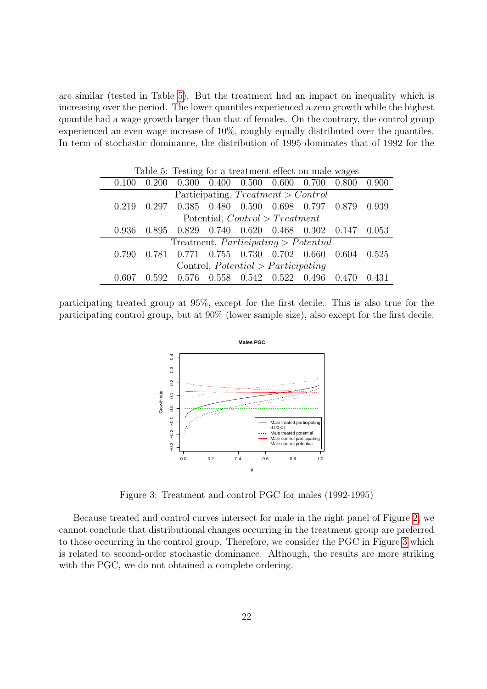are similar (tested in Table [5\)](#page-22-0). But the treatment had an impact on inequality which is increasing over the period. The lower quantiles experienced a zero growth while the highest quantile had a wage growth larger than that of females. On the contrary, the control group experienced an even wage increase of 10%, roughly equally distributed over the quantiles. In term of stochastic dominance, the distribution of 1995 dominates that of 1992 for the

<span id="page-22-0"></span>

| Table 5: Testing for a treatment effect on male wages |                                      |                                           |                                  |                                 |  |                                                         |       |       |  |  |  |
|-------------------------------------------------------|--------------------------------------|-------------------------------------------|----------------------------------|---------------------------------|--|---------------------------------------------------------|-------|-------|--|--|--|
| 0.100                                                 | 0.200                                |                                           |                                  |                                 |  | $0.300$ $0.400$ $0.500$ $0.600$ $0.700$ $0.800$ $0.900$ |       |       |  |  |  |
| Participating, $Treatment > Control$                  |                                      |                                           |                                  |                                 |  |                                                         |       |       |  |  |  |
| 0.219                                                 |                                      | 0.297 0.385 0.480 0.590 0.698 0.797 0.879 |                                  |                                 |  |                                                         |       | 0.939 |  |  |  |
|                                                       |                                      |                                           | Potential, $Control > Treatment$ |                                 |  |                                                         |       |       |  |  |  |
| 0.936                                                 | 0.895                                |                                           |                                  |                                 |  | $0.829$ $0.740$ $0.620$ $0.468$ $0.302$ $0.147$         |       | 0.053 |  |  |  |
|                                                       |                                      | Treatment, $Participating > Potential$    |                                  |                                 |  |                                                         |       |       |  |  |  |
| 0.790                                                 | 0.781                                |                                           |                                  |                                 |  | 0.771  0.755  0.730  0.702  0.660  0.604                |       | 0.525 |  |  |  |
|                                                       | Control, $Potential > Participating$ |                                           |                                  |                                 |  |                                                         |       |       |  |  |  |
|                                                       | 0.592                                | 0.576                                     |                                  | $0.558$ $0.542$ $0.522$ $0.496$ |  |                                                         | 0.470 |       |  |  |  |

participating treated group at 95%, except for the first decile. This is also true for the participating control group, but at 90% (lower sample size), also except for the first decile.



Figure 3: Treatment and control PGC for males (1992-1995)

<span id="page-22-1"></span>Because treated and control curves intersect for male in the right panel of Figure [2,](#page-21-0) we cannot conclude that distributional changes occurring in the treatment group are preferred to those occurring in the control group. Therefore, we consider the PGC in Figure [3](#page-22-1) which is related to second-order stochastic dominance. Although, the results are more striking with the PGC, we do not obtained a complete ordering.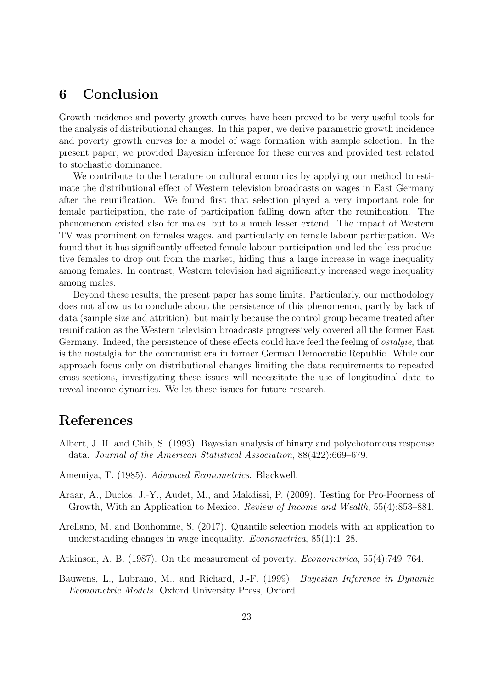### 6 Conclusion

Growth incidence and poverty growth curves have been proved to be very useful tools for the analysis of distributional changes. In this paper, we derive parametric growth incidence and poverty growth curves for a model of wage formation with sample selection. In the present paper, we provided Bayesian inference for these curves and provided test related to stochastic dominance.

We contribute to the literature on cultural economics by applying our method to estimate the distributional effect of Western television broadcasts on wages in East Germany after the reunification. We found first that selection played a very important role for female participation, the rate of participation falling down after the reunification. The phenomenon existed also for males, but to a much lesser extend. The impact of Western TV was prominent on females wages, and particularly on female labour participation. We found that it has significantly affected female labour participation and led the less productive females to drop out from the market, hiding thus a large increase in wage inequality among females. In contrast, Western television had significantly increased wage inequality among males.

Beyond these results, the present paper has some limits. Particularly, our methodology does not allow us to conclude about the persistence of this phenomenon, partly by lack of data (sample size and attrition), but mainly because the control group became treated after reunification as the Western television broadcasts progressively covered all the former East Germany. Indeed, the persistence of these effects could have feed the feeling of ostalgie, that is the nostalgia for the communist era in former German Democratic Republic. While our approach focus only on distributional changes limiting the data requirements to repeated cross-sections, investigating these issues will necessitate the use of longitudinal data to reveal income dynamics. We let these issues for future research.

# References

- <span id="page-23-4"></span>Albert, J. H. and Chib, S. (1993). Bayesian analysis of binary and polychotomous response data. Journal of the American Statistical Association, 88(422):669–679.
- <span id="page-23-3"></span>Amemiya, T. (1985). Advanced Econometrics. Blackwell.
- <span id="page-23-0"></span>Araar, A., Duclos, J.-Y., Audet, M., and Makdissi, P. (2009). Testing for Pro-Poorness of Growth, With an Application to Mexico. Review of Income and Wealth, 55(4):853–881.
- <span id="page-23-1"></span>Arellano, M. and Bonhomme, S. (2017). Quantile selection models with an application to understanding changes in wage inequality. Econometrica, 85(1):1–28.
- <span id="page-23-2"></span>Atkinson, A. B. (1987). On the measurement of poverty. Econometrica, 55(4):749–764.
- <span id="page-23-5"></span>Bauwens, L., Lubrano, M., and Richard, J.-F. (1999). Bayesian Inference in Dynamic Econometric Models. Oxford University Press, Oxford.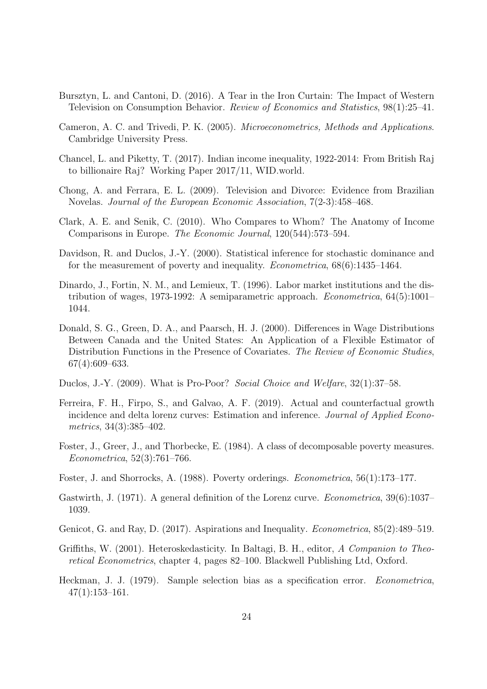- <span id="page-24-11"></span>Bursztyn, L. and Cantoni, D. (2016). A Tear in the Iron Curtain: The Impact of Western Television on Consumption Behavior. Review of Economics and Statistics, 98(1):25–41.
- <span id="page-24-15"></span>Cameron, A. C. and Trivedi, P. K. (2005). Microeconometrics, Methods and Applications. Cambridge University Press.
- <span id="page-24-1"></span>Chancel, L. and Piketty, T. (2017). Indian income inequality, 1922-2014: From British Raj to billionaire Raj? Working Paper 2017/11, WID.world.
- <span id="page-24-13"></span>Chong, A. and Ferrara, E. L. (2009). Television and Divorce: Evidence from Brazilian Novelas. Journal of the European Economic Association, 7(2-3):458–468.
- <span id="page-24-12"></span>Clark, A. E. and Senik, C. (2010). Who Compares to Whom? The Anatomy of Income Comparisons in Europe. The Economic Journal, 120(544):573–594.
- <span id="page-24-8"></span>Davidson, R. and Duclos, J.-Y. (2000). Statistical inference for stochastic dominance and for the measurement of poverty and inequality. Econometrica, 68(6):1435–1464.
- <span id="page-24-2"></span>Dinardo, J., Fortin, N. M., and Lemieux, T. (1996). Labor market institutions and the distribution of wages, 1973-1992: A semiparametric approach. Econometrica, 64(5):1001– 1044.
- <span id="page-24-3"></span>Donald, S. G., Green, D. A., and Paarsch, H. J. (2000). Differences in Wage Distributions Between Canada and the United States: An Application of a Flexible Estimator of Distribution Functions in the Presence of Covariates. The Review of Economic Studies, 67(4):609–633.
- <span id="page-24-0"></span>Duclos, J.-Y. (2009). What is Pro-Poor? Social Choice and Welfare, 32(1):37–58.
- <span id="page-24-4"></span>Ferreira, F. H., Firpo, S., and Galvao, A. F. (2019). Actual and counterfactual growth incidence and delta lorenz curves: Estimation and inference. Journal of Applied Econometrics, 34(3):385–402.
- <span id="page-24-6"></span>Foster, J., Greer, J., and Thorbecke, E. (1984). A class of decomposable poverty measures. Econometrica, 52(3):761–766.
- <span id="page-24-7"></span>Foster, J. and Shorrocks, A. (1988). Poverty orderings. Econometrica, 56(1):173–177.
- <span id="page-24-5"></span>Gastwirth, J. (1971). A general definition of the Lorenz curve. *Econometrica*, 39(6):1037– 1039.
- <span id="page-24-14"></span>Genicot, G. and Ray, D. (2017). Aspirations and Inequality. Econometrica, 85(2):489–519.
- <span id="page-24-10"></span>Griffiths, W. (2001). Heteroskedasticity. In Baltagi, B. H., editor, A Companion to Theoretical Econometrics, chapter 4, pages 82–100. Blackwell Publishing Ltd, Oxford.
- <span id="page-24-9"></span>Heckman, J. J. (1979). Sample selection bias as a specification error. Econometrica,  $47(1):153-161.$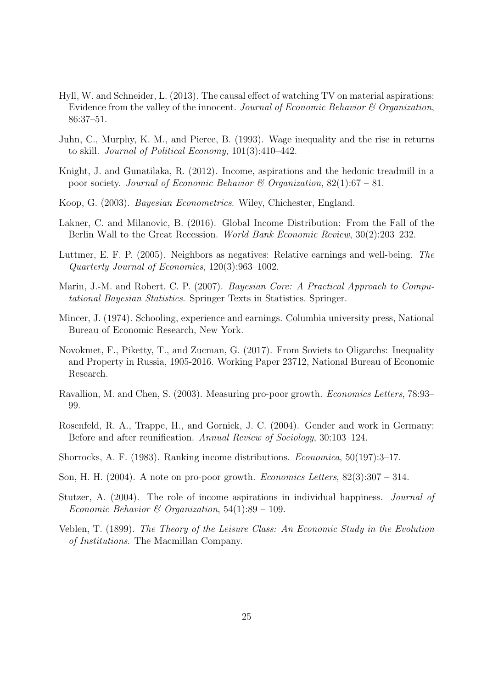- <span id="page-25-12"></span>Hyll, W. and Schneider, L. (2013). The causal effect of watching TV on material aspirations: Evidence from the valley of the innocent. Journal of Economic Behavior  $\mathcal C$  Organization, 86:37–51.
- <span id="page-25-4"></span>Juhn, C., Murphy, K. M., and Pierce, B. (1993). Wage inequality and the rise in returns to skill. Journal of Political Economy, 101(3):410–442.
- <span id="page-25-11"></span>Knight, J. and Gunatilaka, R. (2012). Income, aspirations and the hedonic treadmill in a poor society. Journal of Economic Behavior & Organization,  $82(1):67 - 81$ .
- <span id="page-25-7"></span>Koop, G. (2003). Bayesian Econometrics. Wiley, Chichester, England.
- <span id="page-25-2"></span>Lakner, C. and Milanovic, B. (2016). Global Income Distribution: From the Fall of the Berlin Wall to the Great Recession. World Bank Economic Review, 30(2):203–232.
- <span id="page-25-13"></span>Luttmer, E. F. P. (2005). Neighbors as negatives: Relative earnings and well-being. The Quarterly Journal of Economics, 120(3):963–1002.
- <span id="page-25-8"></span>Marin, J.-M. and Robert, C. P. (2007). Bayesian Core: A Practical Approach to Computational Bayesian Statistics. Springer Texts in Statistics. Springer.
- <span id="page-25-5"></span>Mincer, J. (1974). Schooling, experience and earnings. Columbia university press, National Bureau of Economic Research, New York.
- <span id="page-25-3"></span>Novokmet, F., Piketty, T., and Zucman, G. (2017). From Soviets to Oligarchs: Inequality and Property in Russia, 1905-2016. Working Paper 23712, National Bureau of Economic Research.
- <span id="page-25-0"></span>Ravallion, M. and Chen, S. (2003). Measuring pro-poor growth. Economics Letters, 78:93– 99.
- <span id="page-25-14"></span>Rosenfeld, R. A., Trappe, H., and Gornick, J. C. (2004). Gender and work in Germany: Before and after reunification. Annual Review of Sociology, 30:103–124.
- <span id="page-25-6"></span>Shorrocks, A. F. (1983). Ranking income distributions. Economica, 50(197):3–17.
- <span id="page-25-1"></span>Son, H. H. (2004). A note on pro-poor growth. Economics Letters, 82(3):307 – 314.
- <span id="page-25-10"></span>Stutzer, A. (2004). The role of income aspirations in individual happiness. Journal of Economic Behavior & Organization,  $54(1):89 - 109$ .
- <span id="page-25-9"></span>Veblen, T. (1899). The Theory of the Leisure Class: An Economic Study in the Evolution of Institutions. The Macmillan Company.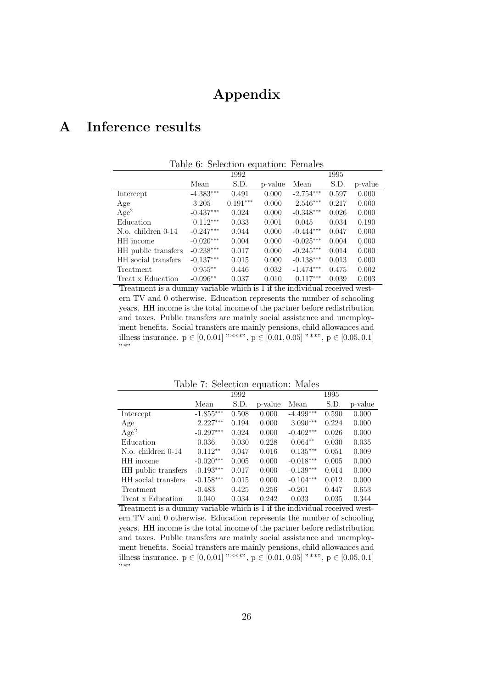## Appendix

# <span id="page-26-0"></span>A Inference results

| Table 6: Selection equation: Females |             |            |         |             |       |         |  |  |  |
|--------------------------------------|-------------|------------|---------|-------------|-------|---------|--|--|--|
|                                      | 1992        |            |         |             |       |         |  |  |  |
|                                      | Mean        | S.D.       | p-value | Mean        | S.D.  | p-value |  |  |  |
| Intercept                            | $-4.383***$ | 0.491      | 0.000   | $-2.754***$ | 0.597 | 0.000   |  |  |  |
| Age                                  | 3.205       | $0.191***$ | 0.000   | $2.546***$  | 0.217 | 0.000   |  |  |  |
| Age <sup>2</sup>                     | $-0.437***$ | 0.024      | 0.000   | $-0.348***$ | 0.026 | 0.000   |  |  |  |
| Education                            | $0.112***$  | 0.033      | 0.001   | 0.045       | 0.034 | 0.190   |  |  |  |
| N.o. children 0-14                   | $-0.247***$ | 0.044      | 0.000   | $-0.444***$ | 0.047 | 0.000   |  |  |  |
| HH income                            | $-0.020***$ | 0.004      | 0.000   | $-0.025***$ | 0.004 | 0.000   |  |  |  |
| HH public transfers                  | $-0.238***$ | 0.017      | 0.000   | $-0.245***$ | 0.014 | 0.000   |  |  |  |
| HH social transfers                  | $-0.137***$ | 0.015      | 0.000   | $-0.138***$ | 0.013 | 0.000   |  |  |  |
| Treatment                            | $0.955***$  | 0.446      | 0.032   | $-1.474***$ | 0.475 | 0.002   |  |  |  |
| Treat x Education                    | $-0.096**$  | 0.037      | 0.010   | $0.117***$  | 0.039 | 0.003   |  |  |  |

Treatment is a dummy variable which is 1 if the individual received western TV and 0 otherwise. Education represents the number of schooling years. HH income is the total income of the partner before redistribution and taxes. Public transfers are mainly social assistance and unemployment benefits. Social transfers are mainly pensions, child allowances and illness insurance.  $p \in [0, 0.01]$  "\*\*\*",  $p \in [0.01, 0.05]$  "\*\*",  $p \in [0.05, 0.1]$ "\*"

|  | Table 7: Selection equation: Males |  |  |
|--|------------------------------------|--|--|
|--|------------------------------------|--|--|

<span id="page-26-1"></span>

|                     | 1992        |       |         | 1995        |       |         |  |
|---------------------|-------------|-------|---------|-------------|-------|---------|--|
|                     | Mean        | S.D.  | p-value | Mean        | S.D.  | p-value |  |
| Intercept           | $-1.855***$ | 0.508 | 0.000   | $-4.499***$ | 0.590 | 0.000   |  |
| Age                 | $2.227***$  | 0.194 | 0.000   | $3.090***$  | 0.224 | 0.000   |  |
| Age <sup>2</sup>    | $-0.297***$ | 0.024 | 0.000   | $-0.402***$ | 0.026 | 0.000   |  |
| Education           | 0.036       | 0.030 | 0.228   | $0.064**$   | 0.030 | 0.035   |  |
| N.o. children 0-14  | $0.112**$   | 0.047 | 0.016   | $0.135***$  | 0.051 | 0.009   |  |
| HH income           | $-0.020***$ | 0.005 | 0.000   | $-0.018***$ | 0.005 | 0.000   |  |
| HH public transfers | $-0.193***$ | 0.017 | 0.000   | $-0.139***$ | 0.014 | 0.000   |  |
| HH social transfers | $-0.158***$ | 0.015 | 0.000   | $-0.104***$ | 0.012 | 0.000   |  |
| Treatment           | $-0.483$    | 0.425 | 0.256   | $-0.201$    | 0.447 | 0.653   |  |
| Treat x Education   | 0.040       | 0.034 | 0.242   | 0.033       | 0.035 | 0.344   |  |

Treatment is a dummy variable which is 1 if the individual received western TV and 0 otherwise. Education represents the number of schooling years. HH income is the total income of the partner before redistribution and taxes. Public transfers are mainly social assistance and unemployment benefits. Social transfers are mainly pensions, child allowances and illness insurance.  $p \in [0, 0.01]$  "\*\*\*",  $p \in [0.01, 0.05]$  "\*\*",  $p \in [0.05, 0.1]$ "\*"